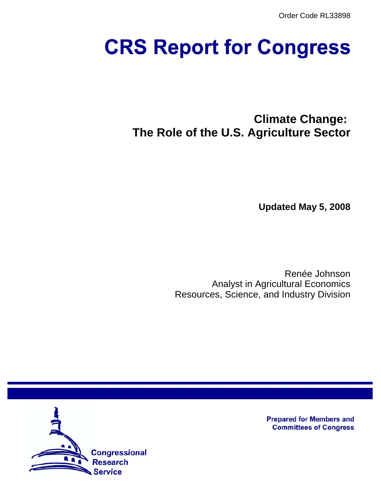Order Code RL33898

# **CRS Report for Congress**

**Climate Change: The Role of the U.S. Agriculture Sector**

**Updated May 5, 2008**

Renée Johnson Analyst in Agricultural Economics Resources, Science, and Industry Division



**Prepared for Members and Committees of Congress**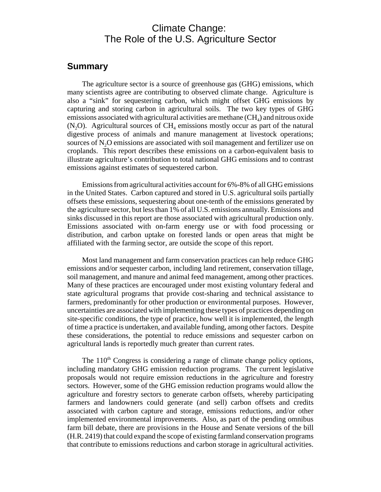## Climate Change: The Role of the U.S. Agriculture Sector

#### **Summary**

The agriculture sector is a source of greenhouse gas (GHG) emissions, which many scientists agree are contributing to observed climate change. Agriculture is also a "sink" for sequestering carbon, which might offset GHG emissions by capturing and storing carbon in agricultural soils. The two key types of GHG emissions associated with agricultural activities are methane  $(CH<sub>4</sub>)$  and nitrous oxide  $(N, O)$ . Agricultural sources of CH<sub>4</sub> emissions mostly occur as part of the natural digestive process of animals and manure management at livestock operations; sources of N<sub>2</sub>O emissions are associated with soil management and fertilizer use on croplands. This report describes these emissions on a carbon-equivalent basis to illustrate agriculture's contribution to total national GHG emissions and to contrast emissions against estimates of sequestered carbon.

Emissions from agricultural activities account for 6%-8% of all GHG emissions in the United States. Carbon captured and stored in U.S. agricultural soils partially offsets these emissions, sequestering about one-tenth of the emissions generated by the agriculture sector, but less than 1% of all U.S. emissions annually. Emissions and sinks discussed in this report are those associated with agricultural production only. Emissions associated with on-farm energy use or with food processing or distribution, and carbon uptake on forested lands or open areas that might be affiliated with the farming sector, are outside the scope of this report.

Most land management and farm conservation practices can help reduce GHG emissions and/or sequester carbon, including land retirement, conservation tillage, soil management, and manure and animal feed management, among other practices. Many of these practices are encouraged under most existing voluntary federal and state agricultural programs that provide cost-sharing and technical assistance to farmers, predominantly for other production or environmental purposes. However, uncertainties are associated with implementing these types of practices depending on site-specific conditions, the type of practice, how well it is implemented, the length of time a practice is undertaken, and available funding, among other factors. Despite these considerations, the potential to reduce emissions and sequester carbon on agricultural lands is reportedly much greater than current rates.

The  $110<sup>th</sup>$  Congress is considering a range of climate change policy options, including mandatory GHG emission reduction programs. The current legislative proposals would not require emission reductions in the agriculture and forestry sectors. However, some of the GHG emission reduction programs would allow the agriculture and forestry sectors to generate carbon offsets, whereby participating farmers and landowners could generate (and sell) carbon offsets and credits associated with carbon capture and storage, emissions reductions, and/or other implemented environmental improvements. Also, as part of the pending omnibus farm bill debate, there are provisions in the House and Senate versions of the bill (H.R. 2419) that could expand the scope of existing farmland conservation programs that contribute to emissions reductions and carbon storage in agricultural activities.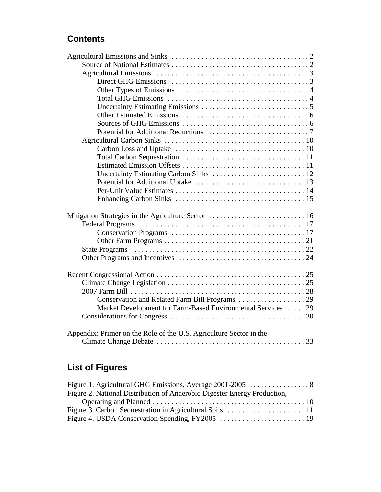## **Contents**

| Uncertainty Estimating Carbon Sinks  12                            |  |
|--------------------------------------------------------------------|--|
|                                                                    |  |
|                                                                    |  |
|                                                                    |  |
|                                                                    |  |
|                                                                    |  |
|                                                                    |  |
|                                                                    |  |
|                                                                    |  |
|                                                                    |  |
|                                                                    |  |
|                                                                    |  |
|                                                                    |  |
|                                                                    |  |
|                                                                    |  |
|                                                                    |  |
| Market Development for Farm-Based Environmental Services  29       |  |
|                                                                    |  |
|                                                                    |  |
| Appendix: Primer on the Role of the U.S. Agriculture Sector in the |  |
|                                                                    |  |

## **List of Figures**

| Figure 2. National Distribution of Anaerobic Digester Energy Production, |  |
|--------------------------------------------------------------------------|--|
|                                                                          |  |
|                                                                          |  |
|                                                                          |  |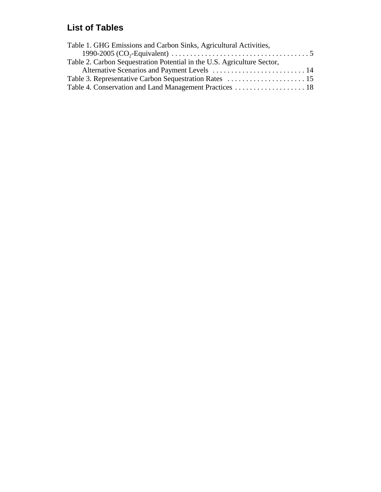## **List of Tables**

| Table 1. GHG Emissions and Carbon Sinks, Agricultural Activities,       |  |
|-------------------------------------------------------------------------|--|
|                                                                         |  |
| Table 2. Carbon Sequestration Potential in the U.S. Agriculture Sector, |  |
| Alternative Scenarios and Payment Levels  14                            |  |
|                                                                         |  |
| Table 4. Conservation and Land Management Practices 18                  |  |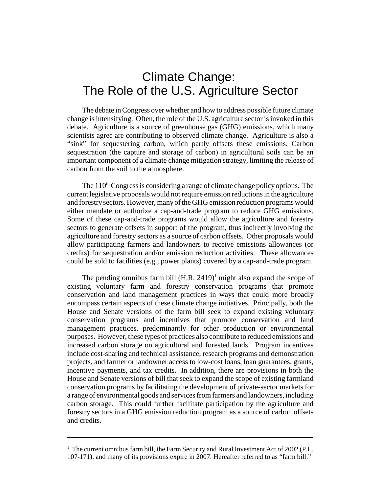## Climate Change: The Role of the U.S. Agriculture Sector

The debate in Congress over whether and how to address possible future climate change is intensifying. Often, the role of the U.S. agriculture sector is invoked in this debate. Agriculture is a source of greenhouse gas (GHG) emissions, which many scientists agree are contributing to observed climate change. Agriculture is also a "sink" for sequestering carbon, which partly offsets these emissions. Carbon sequestration (the capture and storage of carbon) in agricultural soils can be an important component of a climate change mitigation strategy, limiting the release of carbon from the soil to the atmosphere.

The  $110<sup>th</sup>$  Congress is considering a range of climate change policy options. The current legislative proposals would not require emission reductions in the agriculture and forestry sectors. However, many of the GHG emission reduction programs would either mandate or authorize a cap-and-trade program to reduce GHG emissions. Some of these cap-and-trade programs would allow the agriculture and forestry sectors to generate offsets in support of the program, thus indirectly involving the agriculture and forestry sectors as a source of carbon offsets. Other proposals would allow participating farmers and landowners to receive emissions allowances (or credits) for sequestration and/or emission reduction activities. These allowances could be sold to facilities (e.g., power plants) covered by a cap-and-trade program.

The pending omnibus farm bill  $(H.R. 2419)^1$  might also expand the scope of existing voluntary farm and forestry conservation programs that promote conservation and land management practices in ways that could more broadly encompass certain aspects of these climate change initiatives. Principally, both the House and Senate versions of the farm bill seek to expand existing voluntary conservation programs and incentives that promote conservation and land management practices, predominantly for other production or environmental purposes. However, these types of practices also contribute to reduced emissions and increased carbon storage on agricultural and forested lands. Program incentives include cost-sharing and technical assistance, research programs and demonstration projects, and farmer or landowner access to low-cost loans, loan guarantees, grants, incentive payments, and tax credits. In addition, there are provisions in both the House and Senate versions of bill that seek to expand the scope of existing farmland conservation programs by facilitating the development of private-sector markets for a range of environmental goods and services from farmers and landowners, including carbon storage. This could further facilitate participation by the agriculture and forestry sectors in a GHG emission reduction program as a source of carbon offsets and credits.

<sup>&</sup>lt;sup>1</sup> The current omnibus farm bill, the Farm Security and Rural Investment Act of 2002 (P.L. 107-171), and many of its provisions expire in 2007. Hereafter referred to as "farm bill."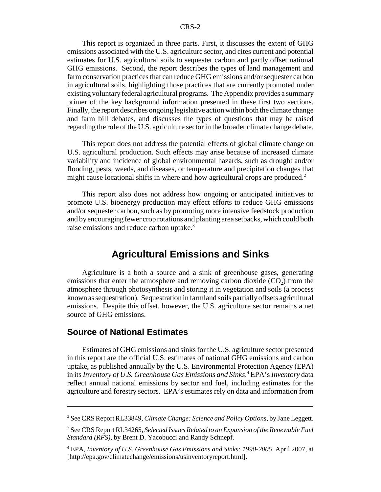This report is organized in three parts. First, it discusses the extent of GHG emissions associated with the U.S. agriculture sector, and cites current and potential estimates for U.S. agricultural soils to sequester carbon and partly offset national GHG emissions. Second, the report describes the types of land management and farm conservation practices that can reduce GHG emissions and/or sequester carbon in agricultural soils, highlighting those practices that are currently promoted under existing voluntary federal agricultural programs. The Appendix provides a summary primer of the key background information presented in these first two sections. Finally, the report describes ongoing legislative action within both the climate change and farm bill debates, and discusses the types of questions that may be raised regarding the role of the U.S. agriculture sector in the broader climate change debate.

This report does not address the potential effects of global climate change on U.S. agricultural production. Such effects may arise because of increased climate variability and incidence of global environmental hazards, such as drought and/or flooding, pests, weeds, and diseases, or temperature and precipitation changes that might cause locational shifts in where and how agricultural crops are produced.<sup>2</sup>

This report also does not address how ongoing or anticipated initiatives to promote U.S. bioenergy production may effect efforts to reduce GHG emissions and/or sequester carbon, such as by promoting more intensive feedstock production and by encouraging fewer crop rotations and planting area setbacks, which could both raise emissions and reduce carbon uptake.<sup>3</sup>

### **Agricultural Emissions and Sinks**

Agriculture is a both a source and a sink of greenhouse gases, generating emissions that enter the atmosphere and removing carbon dioxide  $(CO<sub>2</sub>)$  from the atmosphere through photosynthesis and storing it in vegetation and soils (a process known as sequestration). Sequestration in farmland soils partially offsets agricultural emissions. Despite this offset, however, the U.S. agriculture sector remains a net source of GHG emissions.

#### **Source of National Estimates**

Estimates of GHG emissions and sinks for the U.S. agriculture sector presented in this report are the official U.S. estimates of national GHG emissions and carbon uptake, as published annually by the U.S. Environmental Protection Agency (EPA) in its *Inventory of U.S. Greenhouse Gas Emissions and Sinks*. 4 EPA's *Inventory* data reflect annual national emissions by sector and fuel, including estimates for the agriculture and forestry sectors. EPA's estimates rely on data and information from

<sup>2</sup> See CRS Report RL33849, *Climate Change: Science and Policy Options*, by Jane Leggett.

<sup>3</sup> See CRS Report RL34265, *Selected Issues Related to an Expansion of the Renewable Fuel Standard (RFS)*, by Brent D. Yacobucci and Randy Schnepf.

<sup>4</sup> EPA, *Inventory of U.S. Greenhouse Gas Emissions and Sinks: 1990-2005*, April 2007, at [http://epa.gov/climatechange/emissions/usinventoryreport.html].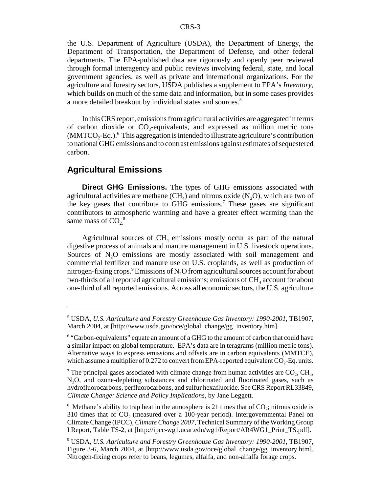the U.S. Department of Agriculture (USDA), the Department of Energy, the Department of Transportation, the Department of Defense, and other federal departments. The EPA-published data are rigorously and openly peer reviewed through formal interagency and public reviews involving federal, state, and local government agencies, as well as private and international organizations. For the agriculture and forestry sectors, USDA publishes a supplement to EPA's *Inventory*, which builds on much of the same data and information, but in some cases provides a more detailed breakout by individual states and sources.<sup>5</sup>

In this CRS report, emissions from agricultural activities are aggregated in terms of carbon dioxide or  $CO<sub>2</sub>$ -equivalents, and expressed as million metric tons  $(MMTCO<sub>2</sub>-Eq.).$ <sup>6</sup> This aggregation is intended to illustrate agriculture's contribution to national GHG emissions and to contrast emissions against estimates of sequestered carbon.

#### **Agricultural Emissions**

**Direct GHG Emissions.** The types of GHG emissions associated with agricultural activities are methane  $(CH<sub>4</sub>)$  and nitrous oxide  $(N<sub>2</sub>O)$ , which are two of the key gases that contribute to GHG emissions.<sup>7</sup> These gases are significant contributors to atmospheric warming and have a greater effect warming than the same mass of  $CO<sub>2</sub><sup>8</sup>$ 

Agricultural sources of  $CH<sub>4</sub>$  emissions mostly occur as part of the natural digestive process of animals and manure management in U.S. livestock operations. Sources of  $N_2O$  emissions are mostly associated with soil management and commercial fertilizer and manure use on U.S. croplands, as well as production of nitrogen-fixing crops. $^9$ Emissions of N<sub>2</sub>O from agricultural sources account for about two-thirds of all reported agricultural emissions; emissions of  $CH<sub>4</sub>$  account for about one-third of all reported emissions. Across all economic sectors, the U.S. agriculture

<sup>5</sup> USDA, *U.S. Agriculture and Forestry Greenhouse Gas Inventory: 1990-2001*, TB1907, March 2004, at [http://www.usda.gov/oce/global\_change/gg\_inventory.htm].

<sup>&</sup>lt;sup>6</sup> "Carbon-equivalents" equate an amount of a GHG to the amount of carbon that could have a similar impact on global temperature. EPA's data are in teragrams (million metric tons). Alternative ways to express emissions and offsets are in carbon equivalents (MMTCE), which assume a multiplier of 0.272 to convert from EPA-reported equivalent  $CO<sub>2</sub>$ -Eq. units.

<sup>&</sup>lt;sup>7</sup> The principal gases associated with climate change from human activities are  $CO_2$ , CH<sub>4</sub>, N2O, and ozone-depleting substances and chlorinated and fluorinated gases, such as hydrofluorocarbons, perfluorocarbons, and sulfur hexafluoride. See CRS Report RL33849, *Climate Change: Science and Policy Implications*, by Jane Leggett.

<sup>&</sup>lt;sup>8</sup> Methane's ability to trap heat in the atmosphere is 21 times that of  $CO_2$ ; nitrous oxide is  $310$  times that of  $CO<sub>2</sub>$  (measured over a 100-year period). Intergovernmental Panel on Climate Change (IPCC), *Climate Change 2007,* Technical Summary of the Working Group I Report, Table TS-2, at [http://ipcc-wg1.ucar.edu/wg1/Report/AR4WG1\_Print\_TS.pdf].

<sup>9</sup> USDA, *U.S. Agriculture and Forestry Greenhouse Gas Inventory: 1990-2001*, TB1907, Figure 3-6, March 2004, at [http://www.usda.gov/oce/global\_change/gg\_inventory.htm]. Nitrogen-fixing crops refer to beans, legumes, alfalfa, and non-alfalfa forage crops.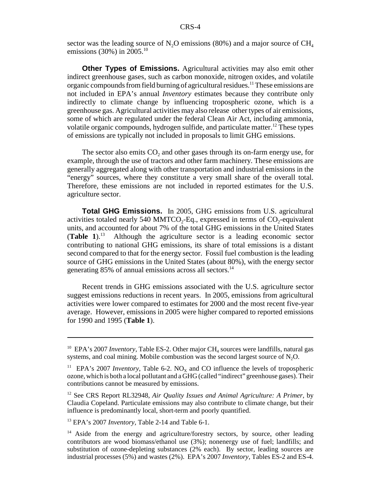sector was the leading source of N<sub>2</sub>O emissions (80%) and a major source of  $CH<sub>4</sub>$ emissions (30%) in 2005.<sup>10</sup>

**Other Types of Emissions.** Agricultural activities may also emit other indirect greenhouse gases, such as carbon monoxide, nitrogen oxides, and volatile organic compounds from field burning of agricultural residues.11 These emissions are not included in EPA's annual *Inventory* estimates because they contribute only indirectly to climate change by influencing tropospheric ozone, which is a greenhouse gas. Agricultural activities may also release other types of air emissions, some of which are regulated under the federal Clean Air Act, including ammonia, volatile organic compounds, hydrogen sulfide, and particulate matter.<sup>12</sup> These types of emissions are typically not included in proposals to limit GHG emissions.

The sector also emits  $CO<sub>2</sub>$  and other gases through its on-farm energy use, for example, through the use of tractors and other farm machinery. These emissions are generally aggregated along with other transportation and industrial emissions in the "energy" sources, where they constitute a very small share of the overall total. Therefore, these emissions are not included in reported estimates for the U.S. agriculture sector.

**Total GHG Emissions.** In 2005, GHG emissions from U.S. agricultural activities totaled nearly 540 MMTCO<sub>2</sub>-Eq., expressed in terms of  $CO_2$ -equivalent units, and accounted for about 7% of the total GHG emissions in the United States (**Table 1**).13 Although the agriculture sector is a leading economic sector contributing to national GHG emissions, its share of total emissions is a distant second compared to that for the energy sector. Fossil fuel combustion is the leading source of GHG emissions in the United States (about 80%), with the energy sector generating 85% of annual emissions across all sectors.<sup>14</sup>

Recent trends in GHG emissions associated with the U.S. agriculture sector suggest emissions reductions in recent years. In 2005, emissions from agricultural activities were lower compared to estimates for 2000 and the most recent five-year average. However, emissions in 2005 were higher compared to reported emissions for 1990 and 1995 (**Table 1**).

<sup>&</sup>lt;sup>10</sup> EPA's 2007 *Inventory*, Table ES-2. Other major CH<sub>4</sub> sources were landfills, natural gas systems, and coal mining. Mobile combustion was the second largest source of  $N_2O$ .

<sup>&</sup>lt;sup>11</sup> EPA's 2007 *Inventory*, Table 6-2.  $NO_x$  and CO influence the levels of tropospheric ozone, which is both a local pollutant and a GHG (called "indirect" greenhouse gases). Their contributions cannot be measured by emissions.

<sup>12</sup> See CRS Report RL32948, *Air Quality Issues and Animal Agriculture: A Primer*, by Claudia Copeland. Particulate emissions may also contribute to climate change, but their influence is predominantly local, short-term and poorly quantified.

<sup>13</sup> EPA's 2007 *Inventory,* Table 2-14 and Table 6-1.

<sup>&</sup>lt;sup>14</sup> Aside from the energy and agriculture/forestry sectors, by source, other leading contributors are wood biomass/ethanol use (3%); nonenergy use of fuel; landfills; and substitution of ozone-depleting substances (2% each). By sector, leading sources are industrial processes (5%) and wastes (2%). EPA's 2007 *Inventory,* Tables ES-2 and ES-4.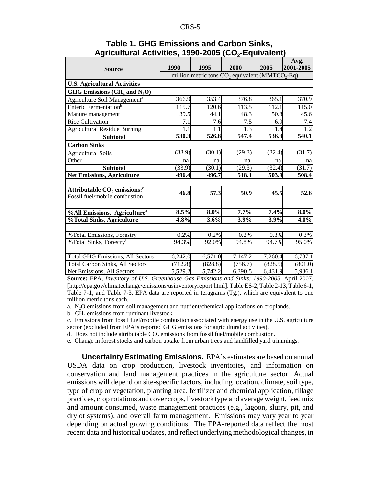| <b>Source</b>                              | 1990                                                                    | 1995    | 2000             | 2005    | Avg.<br>2001-2005 |
|--------------------------------------------|-------------------------------------------------------------------------|---------|------------------|---------|-------------------|
|                                            | million metric tons CO <sub>2</sub> equivalent (MMTCO <sub>2</sub> -Eq) |         |                  |         |                   |
| <b>U.S. Agricultural Activities</b>        |                                                                         |         |                  |         |                   |
| GHG Emissions ( $CH4$ and $N2O$ )          |                                                                         |         |                  |         |                   |
| Agriculture Soil Management <sup>a</sup>   | 366.9                                                                   | 353.4   | 376.8            | 365.1   | 370.9             |
| Enteric Fermentation <sup>b</sup>          | 115.7                                                                   | 120.6   | 113.5            | 112.1   | 115.0             |
| Manure management                          | 39.5                                                                    | 44.1    | 48.3             | 50.8    | 45.6              |
| <b>Rice Cultivation</b>                    | $\overline{7.1}$                                                        | 7.6     | $\overline{7.5}$ | 6.9     | 7.4               |
| <b>Agricultural Residue Burning</b>        | 1.1                                                                     | 1.1     | 1.3              | 1.4     | 1.2               |
| <b>Subtotal</b>                            | 530.3                                                                   | 526.8   | 547.4            | 536.3   | 540.1             |
| <b>Carbon Sinks</b>                        |                                                                         |         |                  |         |                   |
| <b>Agricultural Soils</b>                  | (33.9)                                                                  | (30.1)  | (29.3)           | (32.4)  | (31.7)            |
| Other                                      | na                                                                      | na      | na               | na      | na                |
| <b>Subtotal</b>                            | (33.9)                                                                  | (30.1)  | (29.3)           | (32.4)  | (31.7)            |
| <b>Net Emissions, Agriculture</b>          | 496.4                                                                   | 496.7   | 518.1            | 503.9   | 508.4             |
|                                            |                                                                         |         |                  |         |                   |
| Attributable $CO2$ emissions: <sup>c</sup> | 46.8                                                                    | 57.3    | 50.9             | 45.5    | 52.6              |
| Fossil fuel/mobile combustion              |                                                                         |         |                  |         |                   |
|                                            |                                                                         |         |                  |         |                   |
| %All Emissions, Agriculture <sup>d</sup>   | 8.5%                                                                    | 8.0%    | 7.7%             | 7.4%    | $8.0\%$           |
| %Total Sinks, Agriculture                  | 4.8%                                                                    | 3.6%    | 3.9%             | 3.9%    | 4.0%              |
|                                            |                                                                         |         |                  |         |                   |
| %Total Emissions, Forestry                 | 0.2%                                                                    | 0.2%    | 0.2%             | 0.3%    | 0.3%              |
| % Total Sinks, Forestry <sup>e</sup>       | 94.3%                                                                   | 92.0%   | 94.8%            | 94.7%   | 95.0%             |
|                                            |                                                                         |         |                  |         |                   |
| <b>Total GHG Emissions, All Sectors</b>    | 6,242.0                                                                 | 6,571.0 | 7,147.2          | 7,260.4 | 6,787.1           |
| <b>Total Carbon Sinks, All Sectors</b>     | (712.8)                                                                 | (828.8) | (756.7)          | (828.5) | (801.0)           |
| Net Emissions, All Sectors                 | 5,529.2                                                                 | 5,742.2 | 6,390.5          | 6,431.9 | 5,986.1           |

#### **Table 1. GHG Emissions and Carbon Sinks,**  Agricultural Activities, 1990-2005 (CO<sub>2</sub>-Equivalent)

**Source:** EPA, *Inventory of U.S. Greenhouse Gas Emissions and Sinks: 1990-2005*, April 2007, [http://epa.gov/climatechange/emissions/usinventoryreport.html]. Table ES-2, Table 2-13, Table 6-1, Table 7-1, and Table 7-3. EPA data are reported in teragrams (Tg.), which are equivalent to one million metric tons each.

a. N<sub>2</sub>O emissions from soil management and nutrient/chemical applications on croplands.

b.  $CH<sub>4</sub>$  emissions from ruminant livestock.

c. Emissions from fossil fuel/mobile combustion associated with energy use in the U.S. agriculture sector (excluded from EPA's reported GHG emissions for agricultural activities).

d. Does not include attributable  $CO<sub>2</sub>$  emissions from fossil fuel/mobile combustion.

e. Change in forest stocks and carbon uptake from urban trees and landfilled yard trimmings.

**Uncertainty Estimating Emissions.** EPA's estimates are based on annual USDA data on crop production, livestock inventories, and information on conservation and land management practices in the agriculture sector. Actual emissions will depend on site-specific factors, including location, climate, soil type, type of crop or vegetation, planting area, fertilizer and chemical application, tillage practices, crop rotations and cover crops, livestock type and average weight, feed mix and amount consumed, waste management practices (e.g., lagoon, slurry, pit, and drylot systems), and overall farm management. Emissions may vary year to year depending on actual growing conditions. The EPA-reported data reflect the most recent data and historical updates, and reflect underlying methodological changes, in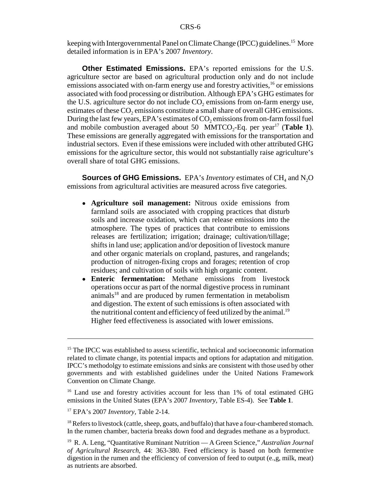keeping with Intergovernmental Panel on Climate Change (IPCC) guidelines.<sup>15</sup> More detailed information is in EPA's 2007 *Inventory*.

**Other Estimated Emissions.** EPA's reported emissions for the U.S. agriculture sector are based on agricultural production only and do not include emissions associated with on-farm energy use and forestry activities,<sup>16</sup> or emissions associated with food processing or distribution. Although EPA's GHG estimates for the U.S. agriculture sector do not include  $CO<sub>2</sub>$  emissions from on-farm energy use, estimates of these CO<sub>2</sub> emissions constitute a small share of overall GHG emissions. During the last few years, EPA's estimates of  $CO<sub>2</sub>$  emissions from on-farm fossil fuel and mobile combustion averaged about 50 MMTCO<sub>2</sub>-Eq. per year<sup>17</sup> (Table 1). These emissions are generally aggregated with emissions for the transportation and industrial sectors. Even if these emissions were included with other attributed GHG emissions for the agriculture sector, this would not substantially raise agriculture's overall share of total GHG emissions.

**Sources of GHG Emissions.** EPA's *Inventory* estimates of CH<sub>4</sub> and N<sub>2</sub>O emissions from agricultural activities are measured across five categories.

- ! **Agriculture soil management:** Nitrous oxide emissions from farmland soils are associated with cropping practices that disturb soils and increase oxidation, which can release emissions into the atmosphere. The types of practices that contribute to emissions releases are fertilization; irrigation; drainage; cultivation/tillage; shifts in land use; application and/or deposition of livestock manure and other organic materials on cropland, pastures, and rangelands; production of nitrogen-fixing crops and forages; retention of crop residues; and cultivation of soils with high organic content.
- ! **Enteric fermentation:** Methane emissions from livestock operations occur as part of the normal digestive process in ruminant animals<sup>18</sup> and are produced by rumen fermentation in metabolism and digestion. The extent of such emissions is often associated with the nutritional content and efficiency of feed utilized by the animal.<sup>19</sup> Higher feed effectiveness is associated with lower emissions.

<sup>&</sup>lt;sup>15</sup> The IPCC was established to assess scientific, technical and socioeconomic information related to climate change, its potential impacts and options for adaptation and mitigation. IPCC's methodolgy to estimate emissions and sinks are consistent with those used by other governments and with established guidelines under the United Nations Framework Convention on Climate Change.

<sup>&</sup>lt;sup>16</sup> Land use and forestry activities account for less than 1% of total estimated GHG emissions in the United States (EPA's 2007 *Inventory,* Table ES-4). See **Table 1**.

<sup>17</sup> EPA's 2007 *Inventory,* Table 2-14.

 $18$  Refers to livestock (cattle, sheep, goats, and buffalo) that have a four-chambered stomach. In the rumen chamber, bacteria breaks down food and degrades methane as a byproduct.

<sup>19</sup> R. A. Leng, "Quantitative Ruminant Nutrition — A Green Science," *Australian Journal of Agricultural Research*, 44: 363-380. Feed efficiency is based on both fermentive digestion in the rumen and the efficiency of conversion of feed to output (e.,g, milk, meat) as nutrients are absorbed.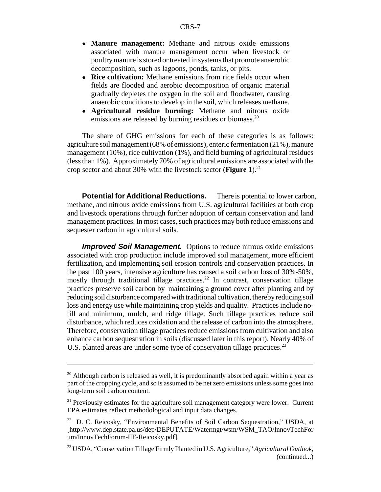- ! **Manure management:** Methane and nitrous oxide emissions associated with manure management occur when livestock or poultry manure is stored or treated in systems that promote anaerobic decomposition, such as lagoons, ponds, tanks, or pits.
- **Rice cultivation:** Methane emissions from rice fields occur when fields are flooded and aerobic decomposition of organic material gradually depletes the oxygen in the soil and floodwater, causing anaerobic conditions to develop in the soil, which releases methane.
- ! **Agricultural residue burning:** Methane and nitrous oxide emissions are released by burning residues or biomass.<sup>20</sup>

The share of GHG emissions for each of these categories is as follows: agriculture soil management (68% of emissions), enteric fermentation (21%), manure management  $(10\%)$ , rice cultivation  $(1\%)$ , and field burning of agricultural residues (less than 1%). Approximately 70% of agricultural emissions are associated with the crop sector and about 30% with the livestock sector (**Figure 1**).21

**Potential for Additional Reductions.** There is potential to lower carbon, methane, and nitrous oxide emissions from U.S. agricultural facilities at both crop and livestock operations through further adoption of certain conservation and land management practices. In most cases, such practices may both reduce emissions and sequester carbon in agricultural soils.

**Improved Soil Management.** Options to reduce nitrous oxide emissions associated with crop production include improved soil management, more efficient fertilization, and implementing soil erosion controls and conservation practices. In the past 100 years, intensive agriculture has caused a soil carbon loss of 30%-50%, mostly through traditional tillage practices.<sup>22</sup> In contrast, conservation tillage practices preserve soil carbon by maintaining a ground cover after planting and by reducing soil disturbance compared with traditional cultivation, thereby reducing soil loss and energy use while maintaining crop yields and quality. Practices include notill and minimum, mulch, and ridge tillage. Such tillage practices reduce soil disturbance, which reduces oxidation and the release of carbon into the atmosphere. Therefore, conservation tillage practices reduce emissions from cultivation and also enhance carbon sequestration in soils (discussed later in this report). Nearly 40% of U.S. planted areas are under some type of conservation tillage practices.<sup>23</sup>

 $20$  Although carbon is released as well, it is predominantly absorbed again within a year as part of the cropping cycle, and so is assumed to be net zero emissions unless some goes into long-term soil carbon content.

 $2<sup>1</sup>$  Previously estimates for the agriculture soil management category were lower. Current EPA estimates reflect methodological and input data changes.

 $22$  D. C. Reicosky, "Environmental Benefits of Soil Carbon Sequestration," USDA, at [http://www.dep.state.pa.us/dep/DEPUTATE/Watermgt/wsm/WSM\_TAO/InnovTechFor um/InnovTechForum-IIE-Reicosky.pdf].

<sup>23</sup> USDA, "Conservation Tillage Firmly Planted in U.S. Agriculture," *Agricultural Outlook*, (continued...)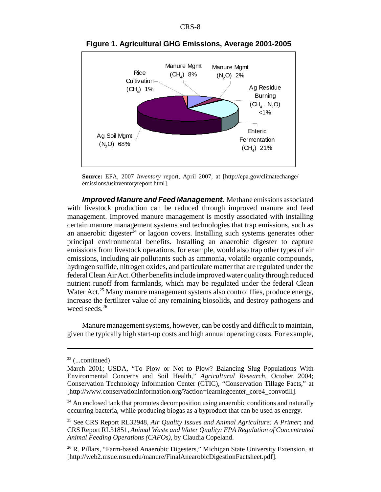

**Figure 1. Agricultural GHG Emissions, Average 2001-2005**

**Source:** EPA, 2007 *Inventory* report, April 2007, at [http://epa.gov/climatechange/ emissions/usinventoryreport.html].

*Improved Manure and Feed Management.* Methane emissions associated with livestock production can be reduced through improved manure and feed management. Improved manure management is mostly associated with installing certain manure management systems and technologies that trap emissions, such as an anaerobic digester $^{24}$  or lagoon covers. Installing such systems generates other principal environmental benefits. Installing an anaerobic digester to capture emissions from livestock operations, for example, would also trap other types of air emissions, including air pollutants such as ammonia, volatile organic compounds, hydrogen sulfide, nitrogen oxides, and particulate matter that are regulated under the federal Clean Air Act. Other benefits include improved water quality through reduced nutrient runoff from farmlands, which may be regulated under the federal Clean Water Act.<sup>25</sup> Many manure management systems also control flies, produce energy, increase the fertilizer value of any remaining biosolids, and destroy pathogens and weed seeds.<sup>26</sup>

Manure management systems, however, can be costly and difficult to maintain, given the typically high start-up costs and high annual operating costs. For example,

 $23$  (...continued)

March 2001; USDA, "To Plow or Not to Plow? Balancing Slug Populations With Environmental Concerns and Soil Health," *Agricultural Research,* October 2004; Conservation Technology Information Center (CTIC), "Conservation Tillage Facts," at [http://www.conservationinformation.org/?action=learningcenter\_core4\_convotill].

 $24$  An enclosed tank that promotes decomposition using anaerobic conditions and naturally occurring bacteria, while producing biogas as a byproduct that can be used as energy.

<sup>25</sup> See CRS Report RL32948, *Air Quality Issues and Animal Agriculture: A Primer*; and CRS Report RL31851, *Animal Waste and Water Quality: EPA Regulation of Concentrated Animal Feeding Operations (CAFOs)*, by Claudia Copeland.

<sup>&</sup>lt;sup>26</sup> R. Pillars, "Farm-based Anaerobic Digesters," Michigan State University Extension, at [http://web2.msue.msu.edu/manure/FinalAnearobicDigestionFactsheet.pdf].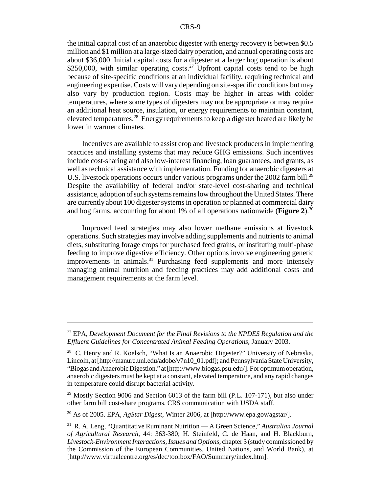the initial capital cost of an anaerobic digester with energy recovery is between \$0.5 million and \$1 million at a large-sized dairy operation, and annual operating costs are about \$36,000. Initial capital costs for a digester at a larger hog operation is about \$250,000, with similar operating costs.<sup>27</sup> Upfront capital costs tend to be high because of site-specific conditions at an individual facility, requiring technical and engineering expertise. Costs will vary depending on site-specific conditions but may also vary by production region. Costs may be higher in areas with colder temperatures, where some types of digesters may not be appropriate or may require an additional heat source, insulation, or energy requirements to maintain constant, elevated temperatures.28 Energy requirements to keep a digester heated are likely be lower in warmer climates.

Incentives are available to assist crop and livestock producers in implementing practices and installing systems that may reduce GHG emissions. Such incentives include cost-sharing and also low-interest financing, loan guarantees, and grants, as well as technical assistance with implementation. Funding for anaerobic digesters at U.S. livestock operations occurs under various programs under the 2002 farm bill.<sup>29</sup> Despite the availability of federal and/or state-level cost-sharing and technical assistance, adoption of such systems remains low throughout the United States. There are currently about 100 digester systems in operation or planned at commercial dairy and hog farms, accounting for about 1% of all operations nationwide (**Figure 2**).<sup>30</sup>

Improved feed strategies may also lower methane emissions at livestock operations. Such strategies may involve adding supplements and nutrients to animal diets, substituting forage crops for purchased feed grains, or instituting multi-phase feeding to improve digestive efficiency. Other options involve engineering genetic improvements in animals.<sup>31</sup> Purchasing feed supplements and more intensely managing animal nutrition and feeding practices may add additional costs and management requirements at the farm level.

<sup>27</sup> EPA, *Development Document for the Final Revisions to the NPDES Regulation and the Effluent Guidelines for Concentrated Animal Feeding Operations*, January 2003.

 $28$  C. Henry and R. Koelsch, "What Is an Anaerobic Digester?" University of Nebraska, Lincoln, at [http://manure.unl.edu/adobe/v7n10\_01.pdf]; and Pennsylvania State University, "Biogas and Anaerobic Digestion," at [http://www.biogas.psu.edu/]. For optimum operation, anaerobic digesters must be kept at a constant, elevated temperature, and any rapid changes in temperature could disrupt bacterial activity.

 $29$  Mostly Section 9006 and Section 6013 of the farm bill (P.L. 107-171), but also under other farm bill cost-share programs. CRS communication with USDA staff.

<sup>30</sup> As of 2005. EPA, *AgStar Digest*, Winter 2006, at [http://www.epa.gov/agstar/].

<sup>31</sup> R. A. Leng, "Quantitative Ruminant Nutrition — A Green Science," *Australian Journal of Agricultural Research*, 44: 363-380; H. Steinfeld, C. de Haan, and H. Blackburn, *Livestock-Environment Interactions, Issues and Options*, chapter 3 (study commissioned by the Commission of the European Communities, United Nations, and World Bank), at [http://www.virtualcentre.org/es/dec/toolbox/FAO/Summary/index.htm].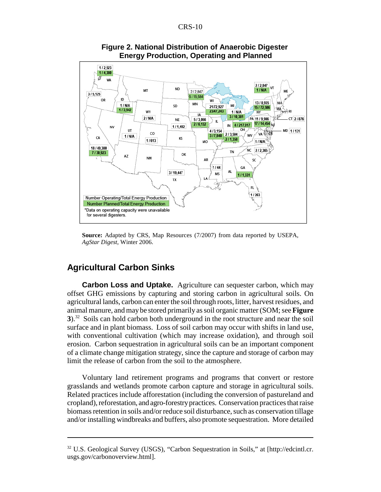

**Figure 2. National Distribution of Anaerobic Digester Energy Production, Operating and Planned**

**Source:** Adapted by CRS, Map Resources (7/2007) from data reported by USEPA, *AgStar Digest*, Winter 2006.

#### **Agricultural Carbon Sinks**

**Carbon Loss and Uptake.** Agriculture can sequester carbon, which may offset GHG emissions by capturing and storing carbon in agricultural soils. On agricultural lands, carbon can enter the soil through roots, litter, harvest residues, and animal manure, and may be stored primarily as soil organic matter (SOM; see **Figure 3**).32 Soils can hold carbon both underground in the root structure and near the soil surface and in plant biomass. Loss of soil carbon may occur with shifts in land use, with conventional cultivation (which may increase oxidation), and through soil erosion. Carbon sequestration in agricultural soils can be an important component of a climate change mitigation strategy, since the capture and storage of carbon may limit the release of carbon from the soil to the atmosphere.

Voluntary land retirement programs and programs that convert or restore grasslands and wetlands promote carbon capture and storage in agricultural soils. Related practices include afforestation (including the conversion of pastureland and cropland), reforestation, and agro-forestry practices. Conservation practices that raise biomass retention in soils and/or reduce soil disturbance, such as conservation tillage and/or installing windbreaks and buffers, also promote sequestration. More detailed

<sup>32</sup> U.S. Geological Survey (USGS), "Carbon Sequestration in Soils," at [http://edcintl.cr. usgs.gov/carbonoverview.html].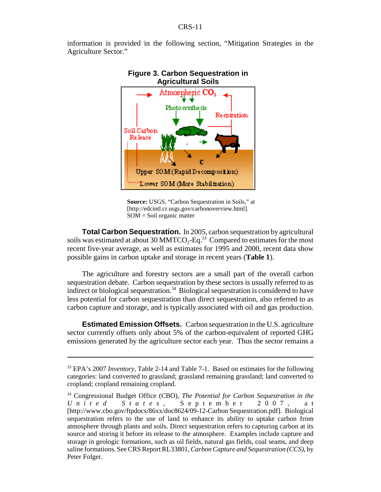information is provided in the following section, "Mitigation Strategies in the Agriculture Sector."



## **Figure 3. Carbon Sequestration in**

**Source:** USGS, "Carbon Sequestration in Soils," at [http://edcintl.cr.usgs.gov/carbonoverview.html].  $SOM = Soil organic matter$ 

**Total Carbon Sequestration.** In 2005, carbon sequestration by agricultural soils was estimated at about 30 MMTCO<sub>2</sub>-Eq.<sup>33</sup> Compared to estimates for the most recent five-year average, as well as estimates for 1995 and 2000, recent data show possible gains in carbon uptake and storage in recent years (**Table 1**).

The agriculture and forestry sectors are a small part of the overall carbon sequestration debate. Carbon sequestration by these sectors is usually referred to as indirect or biological sequestration.<sup>34</sup> Biological sequestration is considered to have less potential for carbon sequestration than direct sequestration, also referred to as carbon capture and storage, and is typically associated with oil and gas production.

**Estimated Emission Offsets.** Carbon sequestration in the U.S. agriculture sector currently offsets only about 5% of the carbon-equivalent of reported GHG emissions generated by the agriculture sector each year. Thus the sector remains a

<sup>33</sup> EPA's 2007 *Inventory,* Table 2-14 and Table 7-1. Based on estimates for the following categories: land converted to grassland; grassland remaining grassland; land converted to cropland; cropland remaining cropland.

<sup>34</sup> Congressional Budget Office (CBO), *The Potential for Carbon Sequestration in the United States* , September 2007, at [http://www.cbo.gov/ftpdocs/86xx/doc8624/09-12-Carbon Sequestration.pdf]. Biological sequestration refers to the use of land to enhance its ability to uptake carbon from atmosphere through plants and soils. Direct sequestration refers to capturing carbon at its source and storing it before its release to the atmosphere. Examples include capture and storage in geologic formations, such as oil fields, natural gas fields, coal seams, and deep saline formations. See CRS Report RL33801, *Carbon Capture and Sequestration (CCS)*, by Peter Folger.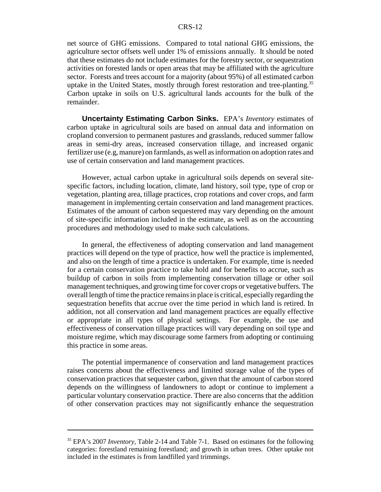net source of GHG emissions. Compared to total national GHG emissions, the agriculture sector offsets well under 1% of emissions annually. It should be noted that these estimates do not include estimates for the forestry sector, or sequestration activities on forested lands or open areas that may be affiliated with the agriculture sector. Forests and trees account for a majority (about 95%) of all estimated carbon uptake in the United States, mostly through forest restoration and tree-planting.<sup>35</sup> Carbon uptake in soils on U.S. agricultural lands accounts for the bulk of the remainder.

**Uncertainty Estimating Carbon Sinks.** EPA's *Inventory* estimates of carbon uptake in agricultural soils are based on annual data and information on cropland conversion to permanent pastures and grasslands, reduced summer fallow areas in semi-dry areas, increased conservation tillage, and increased organic fertilizer use (e.g, manure) on farmlands, as well as information on adoption rates and use of certain conservation and land management practices.

However, actual carbon uptake in agricultural soils depends on several sitespecific factors, including location, climate, land history, soil type, type of crop or vegetation, planting area, tillage practices, crop rotations and cover crops, and farm management in implementing certain conservation and land management practices. Estimates of the amount of carbon sequestered may vary depending on the amount of site-specific information included in the estimate, as well as on the accounting procedures and methodology used to make such calculations.

In general, the effectiveness of adopting conservation and land management practices will depend on the type of practice, how well the practice is implemented, and also on the length of time a practice is undertaken. For example, time is needed for a certain conservation practice to take hold and for benefits to accrue, such as buildup of carbon in soils from implementing conservation tillage or other soil management techniques, and growing time for cover crops or vegetative buffers. The overall length of time the practice remains in place is critical, especially regarding the sequestration benefits that accrue over the time period in which land is retired. In addition, not all conservation and land management practices are equally effective or appropriate in all types of physical settings. For example, the use and effectiveness of conservation tillage practices will vary depending on soil type and moisture regime, which may discourage some farmers from adopting or continuing this practice in some areas.

The potential impermanence of conservation and land management practices raises concerns about the effectiveness and limited storage value of the types of conservation practices that sequester carbon, given that the amount of carbon stored depends on the willingness of landowners to adopt or continue to implement a particular voluntary conservation practice. There are also concerns that the addition of other conservation practices may not significantly enhance the sequestration

<sup>35</sup> EPA's 2007 *Inventory,* Table 2-14 and Table 7-1. Based on estimates for the following categories: forestland remaining forestland; and growth in urban trees. Other uptake not included in the estimates is from landfilled yard trimmings.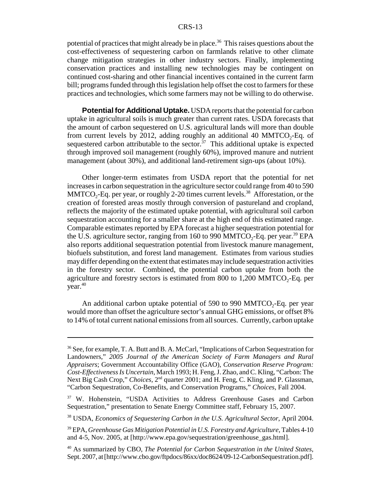potential of practices that might already be in place.<sup>36</sup> This raises questions about the cost-effectiveness of sequestering carbon on farmlands relative to other climate change mitigation strategies in other industry sectors. Finally, implementing conservation practices and installing new technologies may be contingent on continued cost-sharing and other financial incentives contained in the current farm bill; programs funded through this legislation help offset the cost to farmers for these practices and technologies, which some farmers may not be willing to do otherwise.

**Potential for Additional Uptake.** USDA reports that the potential for carbon uptake in agricultural soils is much greater than current rates. USDA forecasts that the amount of carbon sequestered on U.S. agricultural lands will more than double from current levels by 2012, adding roughly an additional 40 MMTCO<sub>2</sub>-Eq. of sequestered carbon attributable to the sector.<sup>37</sup> This additional uptake is expected through improved soil management (roughly 60%), improved manure and nutrient management (about 30%), and additional land-retirement sign-ups (about 10%).

Other longer-term estimates from USDA report that the potential for net increases in carbon sequestration in the agriculture sector could range from 40 to 590 MMTCO<sub>2</sub>-Eq. per year, or roughly 2-20 times current levels.<sup>38</sup> Afforestation, or the creation of forested areas mostly through conversion of pastureland and cropland, reflects the majority of the estimated uptake potential, with agricultural soil carbon sequestration accounting for a smaller share at the high end of this estimated range. Comparable estimates reported by EPA forecast a higher sequestration potential for the U.S. agriculture sector, ranging from 160 to 990 MMTCO<sub>2</sub>-Eq. per year.<sup>39</sup> EPA also reports additional sequestration potential from livestock manure management, biofuels substitution, and forest land management. Estimates from various studies may differ depending on the extent that estimates may include sequestration activities in the forestry sector. Combined, the potential carbon uptake from both the agriculture and forestry sectors is estimated from 800 to  $1,200$  MMTCO<sub>2</sub>-Eq. per  $year<sup>40</sup>$ 

An additional carbon uptake potential of  $590$  to  $990$  MMTCO<sub>2</sub>-Eq. per year would more than offset the agriculture sector's annual GHG emissions, or offset 8% to 14% of total current national emissions from all sources. Currently, carbon uptake

<sup>&</sup>lt;sup>36</sup> See, for example, T. A. Butt and B. A. McCarl, "Implications of Carbon Sequestration for Landowners," *2005 Journal of the American Society of Farm Managers and Rural Appraisers*; Government Accountability Office (GAO), *Conservation Reserve Program: Cost-Effectiveness Is Uncertain*, March 1993; H. Feng, J. Zhao, and C. Kling, "Carbon: The Next Big Cash Crop," *Choices*, 2<sup>nd</sup> quarter 2001; and H. Feng, C. Kling, and P. Glassman, "Carbon Sequestration, Co-Benefits, and Conservation Programs," *Choices*, Fall 2004.

<sup>&</sup>lt;sup>37</sup> W. Hohenstein, "USDA Activities to Address Greenhouse Gases and Carbon Sequestration," presentation to Senate Energy Committee staff, February 15, 2007.

<sup>38</sup> USDA, *Economics of Sequestering Carbon in the U.S. Agricultural Sector*, April 2004.

<sup>39</sup> EPA, *Greenhouse Gas Mitigation Potential in U.S. Forestry and Agriculture*, Tables 4-10 and 4-5, Nov. 2005, at [http://www.epa.gov/sequestration/greenhouse\_gas.html].

<sup>40</sup> As summarized by CBO, *The Potential for Carbon Sequestration in the United States*, Sept. 2007, at [http://www.cbo.gov/ftpdocs/86xx/doc8624/09-12-CarbonSequestration.pdf].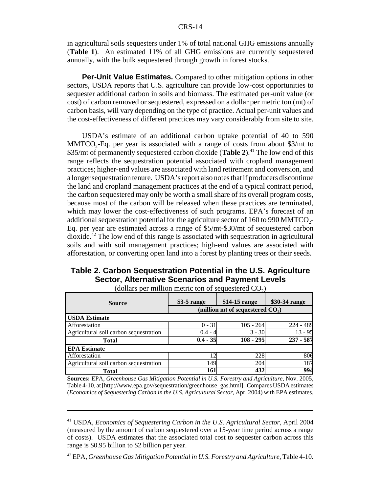in agricultural soils sequesters under 1% of total national GHG emissions annually (**Table 1**). An estimated 11% of all GHG emissions are currently sequestered annually, with the bulk sequestered through growth in forest stocks.

**Per-Unit Value Estimates.** Compared to other mitigation options in other sectors, USDA reports that U.S. agriculture can provide low-cost opportunities to sequester additional carbon in soils and biomass. The estimated per-unit value (or cost) of carbon removed or sequestered, expressed on a dollar per metric ton (mt) of carbon basis, will vary depending on the type of practice. Actual per-unit values and the cost-effectiveness of different practices may vary considerably from site to site.

USDA's estimate of an additional carbon uptake potential of 40 to 590  $MMTCO<sub>2</sub>-Eq.$  per year is associated with a range of costs from about \$3/mt to \$35/mt of permanently sequestered carbon dioxide (**Table 2**).<sup>41</sup> The low end of this range reflects the sequestration potential associated with cropland management practices; higher-end values are associated with land retirement and conversion, and a longer sequestration tenure. USDA's report also notes that if producers discontinue the land and cropland management practices at the end of a typical contract period, the carbon sequestered may only be worth a small share of its overall program costs, because most of the carbon will be released when these practices are terminated, which may lower the cost-effectiveness of such programs. EPA's forecast of an additional sequestration potential for the agriculture sector of  $160$  to 990 MMTCO<sub>2</sub>-Eq. per year are estimated across a range of \$5/mt-\$30/mt of sequestered carbon  $divi$  The low end of this range is associated with sequestration in agricultural soils and with soil management practices; high-end values are associated with afforestation, or converting open land into a forest by planting trees or their seeds.

#### **Table 2. Carbon Sequestration Potential in the U.S. Agriculture Sector, Alternative Scenarios and Payment Levels**

| <b>Source</b>                          | $$3-5$ range                       | $$14-15$ range | \$30-34 range |  |
|----------------------------------------|------------------------------------|----------------|---------------|--|
|                                        | (million mt of sequestered $CO2$ ) |                |               |  |
| <b>USDA Estimate</b>                   |                                    |                |               |  |
| Afforestation                          | $0 - 31$                           | $105 - 264$    | 224 - 489     |  |
| Agricultural soil carbon sequestration | $0.4 - 4$                          | $3 - 30$       | 13 - 95       |  |
| Total                                  | $0.4 - 35$                         | $108 - 295$    | $237 - 587$   |  |
| <b>EPA Estimate</b>                    |                                    |                |               |  |
| Afforestation                          |                                    | 228            | 806           |  |
| Agricultural soil carbon sequestration | 149                                | 204            | 187           |  |
| Total                                  | 161                                | 432            | 994           |  |

(dollars per million metric ton of sequestered  $CO<sub>2</sub>$ )

**Sources:** EPA, *Greenhouse Gas Mitigation Potential in U.S. Forestry and Agriculture*, Nov. 2005, Table 4-10, at [http://www.epa.gov/sequestration/greenhouse\_gas.html]. Compares USDA estimates (*Economics of Sequestering Carbon in the U.S. Agricultural Sector*, Apr. 2004) with EPA estimates.

<sup>41</sup> USDA, *Economics of Sequestering Carbon in the U.S. Agricultural Sector*, April 2004 (measured by the amount of carbon sequestered over a 15-year time period across a range of costs). USDA estimates that the associated total cost to sequester carbon across this range is \$0.95 billion to \$2 billion per year.

<sup>42</sup> EPA, *Greenhouse Gas Mitigation Potential in U.S. Forestry and Agriculture*, Table 4-10.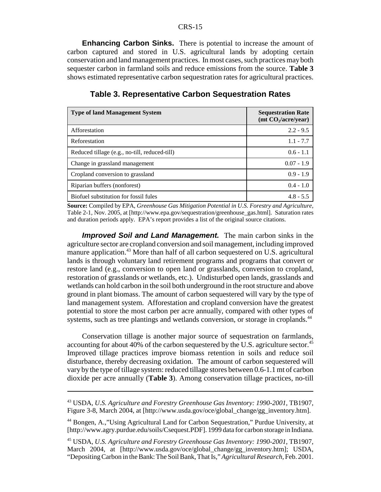**Enhancing Carbon Sinks.** There is potential to increase the amount of carbon captured and stored in U.S. agricultural lands by adopting certain conservation and land management practices. In most cases, such practices may both sequester carbon in farmland soils and reduce emissions from the source. **Table 3** shows estimated representative carbon sequestration rates for agricultural practices.

| <b>Type of land Management System</b>         | <b>Sequestration Rate</b><br>$(mt CO, / \n    accryear)$ |
|-----------------------------------------------|----------------------------------------------------------|
| Afforestation                                 | $2.2 - 9.5$                                              |
| Reforestation                                 | $1.1 - 7.7$                                              |
| Reduced tillage (e.g., no-till, reduced-till) | $0.6 - 1.1$                                              |
| Change in grassland management                | $0.07 - 1.9$                                             |
| Cropland conversion to grassland              | $0.9 - 1.9$                                              |
| Riparian buffers (nonforest)                  | $0.4 - 1.0$                                              |
| Biofuel substitution for fossil fules         | $4.8 - 5.5$                                              |

#### **Table 3. Representative Carbon Sequestration Rates**

**Source:** Compiled by EPA, *Greenhouse Gas Mitigation Potential in U.S. Forestry and Agriculture*, Table 2-1, Nov. 2005, at [http://www.epa.gov/sequestration/greenhouse\_gas.html]. Saturation rates and duration periods apply. EPA's report provides a list of the original source citations.

*Improved Soil and Land Management.* The main carbon sinks in the agriculture sector are cropland conversion and soil management, including improved manure application.<sup>43</sup> More than half of all carbon sequestered on U.S. agricultural lands is through voluntary land retirement programs and programs that convert or restore land (e.g., conversion to open land or grasslands, conversion to cropland, restoration of grasslands or wetlands, etc.). Undisturbed open lands, grasslands and wetlands can hold carbon in the soil both underground in the root structure and above ground in plant biomass. The amount of carbon sequestered will vary by the type of land management system. Afforestation and cropland conversion have the greatest potential to store the most carbon per acre annually, compared with other types of systems, such as tree plantings and wetlands conversion, or storage in croplands.<sup>44</sup>

Conservation tillage is another major source of sequestration on farmlands, accounting for about 40% of the carbon sequestered by the U.S. agriculture sector.<sup>45</sup> Improved tillage practices improve biomass retention in soils and reduce soil disturbance, thereby decreasing oxidation. The amount of carbon sequestered will vary by the type of tillage system: reduced tillage stores between 0.6-1.1 mt of carbon dioxide per acre annually (**Table 3**). Among conservation tillage practices, no-till

<sup>43</sup> USDA, *U.S. Agriculture and Forestry Greenhouse Gas Inventory: 1990-2001*, TB1907, Figure 3-8, March 2004, at [http://www.usda.gov/oce/global\_change/gg\_inventory.htm].

<sup>44</sup> Bongen, A.,"Using Agricultural Land for Carbon Sequestration," Purdue University, at [http://www.agry.purdue.edu/soils/Csequest.PDF]. 1999 data for carbon storage in Indiana.

<sup>45</sup> USDA, *U.S. Agriculture and Forestry Greenhouse Gas Inventory: 1990-2001*, TB1907, March 2004, at [http://www.usda.gov/oce/global\_change/gg\_inventory.htm]; USDA, "Depositing Carbon in the Bank: The Soil Bank, That Is," *Agricultural Research,* Feb. 2001.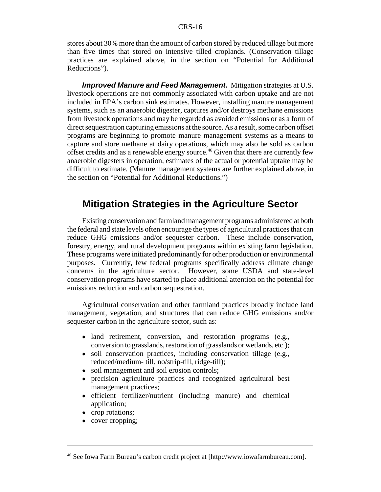stores about 30% more than the amount of carbon stored by reduced tillage but more than five times that stored on intensive tilled croplands. (Conservation tillage practices are explained above, in the section on "Potential for Additional Reductions").

**Improved Manure and Feed Management.** Mitigation strategies at U.S. livestock operations are not commonly associated with carbon uptake and are not included in EPA's carbon sink estimates. However, installing manure management systems, such as an anaerobic digester, captures and/or destroys methane emissions from livestock operations and may be regarded as avoided emissions or as a form of direct sequestration capturing emissions at the source. As a result, some carbon offset programs are beginning to promote manure management systems as a means to capture and store methane at dairy operations, which may also be sold as carbon offset credits and as a renewable energy source.<sup>46</sup> Given that there are currently few anaerobic digesters in operation, estimates of the actual or potential uptake may be difficult to estimate. (Manure management systems are further explained above, in the section on "Potential for Additional Reductions.")

#### **Mitigation Strategies in the Agriculture Sector**

Existing conservation and farmland management programs administered at both the federal and state levels often encourage the types of agricultural practices that can reduce GHG emissions and/or sequester carbon. These include conservation, forestry, energy, and rural development programs within existing farm legislation. These programs were initiated predominantly for other production or environmental purposes. Currently, few federal programs specifically address climate change concerns in the agriculture sector. However, some USDA and state-level conservation programs have started to place additional attention on the potential for emissions reduction and carbon sequestration.

Agricultural conservation and other farmland practices broadly include land management, vegetation, and structures that can reduce GHG emissions and/or sequester carbon in the agriculture sector, such as:

- land retirement, conversion, and restoration programs (e.g., conversion to grasslands, restoration of grasslands or wetlands, etc.);
- soil conservation practices, including conservation tillage (e.g., reduced/medium- till, no/strip-till, ridge-till);
- soil management and soil erosion controls;
- ! precision agriculture practices and recognized agricultural best management practices;
- ! efficient fertilizer/nutrient (including manure) and chemical application;
- crop rotations;
- cover cropping;

<sup>46</sup> See Iowa Farm Bureau's carbon credit project at [http://www.iowafarmbureau.com].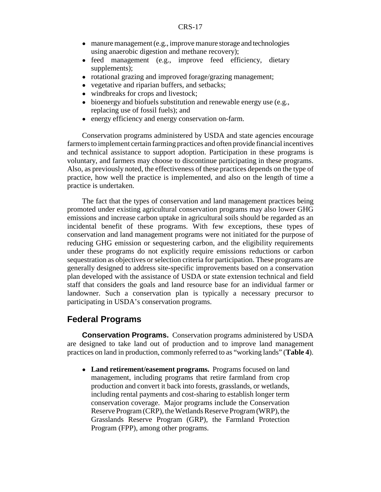- manure management (e.g., improve manure storage and technologies using anaerobic digestion and methane recovery);
- feed management (e.g., improve feed efficiency, dietary supplements);
- rotational grazing and improved forage/grazing management;
- ! vegetative and riparian buffers, and setbacks;
- windbreaks for crops and livestock;
- bioenergy and biofuels substitution and renewable energy use (e.g., replacing use of fossil fuels); and
- energy efficiency and energy conservation on-farm.

Conservation programs administered by USDA and state agencies encourage farmers to implement certain farming practices and often provide financial incentives and technical assistance to support adoption. Participation in these programs is voluntary, and farmers may choose to discontinue participating in these programs. Also, as previously noted, the effectiveness of these practices depends on the type of practice, how well the practice is implemented, and also on the length of time a practice is undertaken.

The fact that the types of conservation and land management practices being promoted under existing agricultural conservation programs may also lower GHG emissions and increase carbon uptake in agricultural soils should be regarded as an incidental benefit of these programs. With few exceptions, these types of conservation and land management programs were not initiated for the purpose of reducing GHG emission or sequestering carbon, and the eligibility requirements under these programs do not explicitly require emissions reductions or carbon sequestration as objectives or selection criteria for participation. These programs are generally designed to address site-specific improvements based on a conservation plan developed with the assistance of USDA or state extension technical and field staff that considers the goals and land resource base for an individual farmer or landowner. Such a conservation plan is typically a necessary precursor to participating in USDA's conservation programs.

#### **Federal Programs**

**Conservation Programs.** Conservation programs administered by USDA are designed to take land out of production and to improve land management practices on land in production, commonly referred to as "working lands" (**Table 4**).

• Land retirement/easement programs. Programs focused on land management, including programs that retire farmland from crop production and convert it back into forests, grasslands, or wetlands, including rental payments and cost-sharing to establish longer term conservation coverage. Major programs include the Conservation Reserve Program (CRP), the Wetlands Reserve Program (WRP), the Grasslands Reserve Program (GRP), the Farmland Protection Program (FPP), among other programs.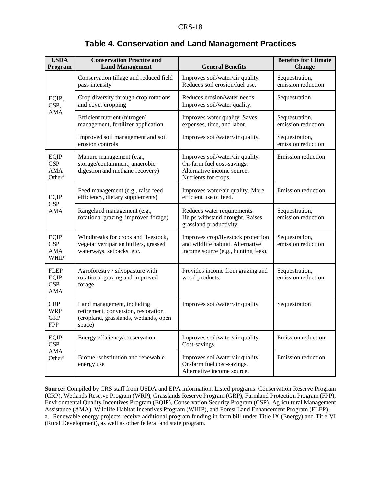| <b>USDA</b><br>Program                                 | <b>Conservation Practice and</b><br><b>Land Management</b>                                                           | <b>General Benefits</b>                                                                                              | <b>Benefits for Climate</b><br><b>Change</b> |
|--------------------------------------------------------|----------------------------------------------------------------------------------------------------------------------|----------------------------------------------------------------------------------------------------------------------|----------------------------------------------|
| EQIP,<br>CSP,<br>AMA                                   | Conservation tillage and reduced field<br>pass intensity                                                             | Improves soil/water/air quality.<br>Reduces soil erosion/fuel use.                                                   | Sequestration,<br>emission reduction         |
|                                                        | Crop diversity through crop rotations<br>and cover cropping                                                          | Reduces erosion/water needs.<br>Improves soil/water quality.                                                         | Sequestration                                |
|                                                        | Efficient nutrient (nitrogen)<br>management, fertilizer application                                                  | Improves water quality. Saves<br>expenses, time, and labor.                                                          | Sequestration,<br>emission reduction         |
|                                                        | Improved soil management and soil<br>erosion controls                                                                | Improves soil/water/air quality.                                                                                     | Sequestration,<br>emission reduction         |
| <b>EQIP</b><br><b>CSP</b><br>AMA<br>Other <sup>a</sup> | Manure management (e.g.,<br>storage/containment, anaerobic<br>digestion and methane recovery)                        | Improves soil/water/air quality.<br>On-farm fuel cost-savings.<br>Alternative income source.<br>Nutrients for crops. | Emission reduction                           |
| EQIP                                                   | Feed management (e.g., raise feed<br>efficiency, dietary supplements)                                                | Improves water/air quality. More<br>efficient use of feed.                                                           | Emission reduction                           |
| <b>CSP</b><br>AMA                                      | Rangeland management (e.g.,<br>rotational grazing, improved forage)                                                  | Reduces water requirements.<br>Helps withstand drought. Raises<br>grassland productivity.                            | Sequestration,<br>emission reduction         |
| <b>EQIP</b><br><b>CSP</b><br>AMA<br><b>WHIP</b>        | Windbreaks for crops and livestock,<br>vegetative/riparian buffers, grassed<br>waterways, setbacks, etc.             | Improves crop/livestock protection<br>and wildlife habitat. Alternative<br>income source (e.g., hunting fees).       | Sequestration,<br>emission reduction         |
| <b>FLEP</b><br><b>EQIP</b><br><b>CSP</b><br><b>AMA</b> | Agroforestry / silvopasture with<br>rotational grazing and improved<br>forage                                        | Provides income from grazing and<br>wood products.                                                                   | Sequestration,<br>emission reduction         |
| <b>CRP</b><br>WRP<br><b>GRP</b><br><b>FPP</b>          | Land management, including<br>retirement, conversion, restoration<br>(cropland, grasslands, wetlands, open<br>space) | Improves soil/water/air quality.                                                                                     | Sequestration                                |
| <b>EQIP</b><br><b>CSP</b>                              | Energy efficiency/conservation                                                                                       | Improves soil/water/air quality.<br>Cost-savings.                                                                    | Emission reduction                           |
| AMA<br>Other <sup>a</sup>                              | Biofuel substitution and renewable<br>energy use                                                                     | Improves soil/water/air quality.<br>On-farm fuel cost-savings.<br>Alternative income source.                         | Emission reduction                           |

#### **Table 4. Conservation and Land Management Practices**

**Source:** Compiled by CRS staff from USDA and EPA information. Listed programs: Conservation Reserve Program (CRP), Wetlands Reserve Program (WRP), Grasslands Reserve Program (GRP), Farmland Protection Program (FPP), Environmental Quality Incentives Program (EQIP), Conservation Security Program (CSP), Agricultural Management Assistance (AMA), Wildlife Habitat Incentives Program (WHIP), and Forest Land Enhancement Program (FLEP). a. Renewable energy projects receive additional program funding in farm bill under Title IX (Energy) and Title VI (Rural Development), as well as other federal and state program.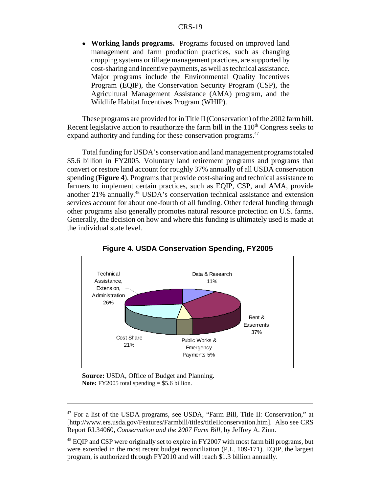! **Working lands programs.** Programs focused on improved land management and farm production practices, such as changing cropping systems or tillage management practices, are supported by cost-sharing and incentive payments, as well as technical assistance. Major programs include the Environmental Quality Incentives Program (EQIP), the Conservation Security Program (CSP), the Agricultural Management Assistance (AMA) program, and the Wildlife Habitat Incentives Program (WHIP).

These programs are provided for in Title II (Conservation) of the 2002 farm bill. Recent legislative action to reauthorize the farm bill in the  $110<sup>th</sup>$  Congress seeks to expand authority and funding for these conservation programs.<sup>47</sup>

Total funding for USDA's conservation and land management programs totaled \$5.6 billion in FY2005. Voluntary land retirement programs and programs that convert or restore land account for roughly 37% annually of all USDA conservation spending (**Figure 4**). Programs that provide cost-sharing and technical assistance to farmers to implement certain practices, such as EQIP, CSP, and AMA, provide another 21% annually.<sup>48</sup> USDA's conservation technical assistance and extension services account for about one-fourth of all funding. Other federal funding through other programs also generally promotes natural resource protection on U.S. farms. Generally, the decision on how and where this funding is ultimately used is made at the individual state level.



**Figure 4. USDA Conservation Spending, FY2005**

**Source:** USDA, Office of Budget and Planning. **Note:** FY2005 total spending = \$5.6 billion.

<sup>47</sup> For a list of the USDA programs, see USDA, "Farm Bill, Title II: Conservation," at [http://www.ers.usda.gov/Features/Farmbill/titles/titleIIconservation.htm]. Also see CRS Report RL34060, *Conservation and the 2007 Farm Bill*, by Jeffrey A. Zinn.

<sup>&</sup>lt;sup>48</sup> EQIP and CSP were originally set to expire in FY2007 with most farm bill programs, but were extended in the most recent budget reconciliation (P.L. 109-171). EQIP, the largest program, is authorized through FY2010 and will reach \$1.3 billion annually.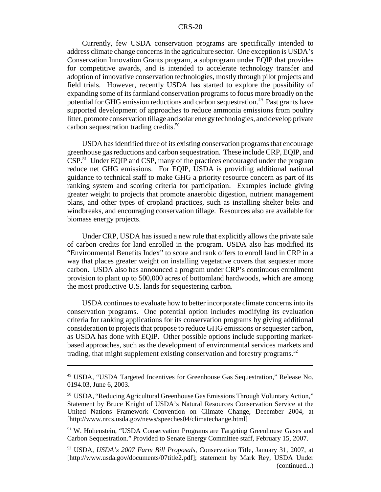Currently, few USDA conservation programs are specifically intended to address climate change concerns in the agriculture sector. One exception is USDA's Conservation Innovation Grants program, a subprogram under EQIP that provides for competitive awards, and is intended to accelerate technology transfer and adoption of innovative conservation technologies, mostly through pilot projects and field trials. However, recently USDA has started to explore the possibility of expanding some of its farmland conservation programs to focus more broadly on the potential for GHG emission reductions and carbon sequestration.49 Past grants have supported development of approaches to reduce ammonia emissions from poultry litter, promote conservation tillage and solar energy technologies, and develop private carbon sequestration trading credits.<sup>50</sup>

USDA has identified three of its existing conservation programs that encourage greenhouse gas reductions and carbon sequestration. These include CRP, EQIP, and CSP.51 Under EQIP and CSP, many of the practices encouraged under the program reduce net GHG emissions. For EQIP, USDA is providing additional national guidance to technical staff to make GHG a priority resource concern as part of its ranking system and scoring criteria for participation. Examples include giving greater weight to projects that promote anaerobic digestion, nutrient management plans, and other types of cropland practices, such as installing shelter belts and windbreaks, and encouraging conservation tillage. Resources also are available for biomass energy projects.

Under CRP, USDA has issued a new rule that explicitly allows the private sale of carbon credits for land enrolled in the program. USDA also has modified its "Environmental Benefits Index" to score and rank offers to enroll land in CRP in a way that places greater weight on installing vegetative covers that sequester more carbon. USDA also has announced a program under CRP's continuous enrollment provision to plant up to 500,000 acres of bottomland hardwoods, which are among the most productive U.S. lands for sequestering carbon.

USDA continues to evaluate how to better incorporate climate concerns into its conservation programs. One potential option includes modifying its evaluation criteria for ranking applications for its conservation programs by giving additional consideration to projects that propose to reduce GHG emissions or sequester carbon, as USDA has done with EQIP. Other possible options include supporting marketbased approaches, such as the development of environmental services markets and trading, that might supplement existing conservation and forestry programs.<sup>52</sup>

<sup>49</sup> USDA, "USDA Targeted Incentives for Greenhouse Gas Sequestration," Release No. 0194.03, June 6, 2003.

<sup>50</sup> USDA, "Reducing Agricultural Greenhouse Gas Emissions Through Voluntary Action," Statement by Bruce Knight of USDA's Natural Resources Conservation Service at the United Nations Framework Convention on Climate Change, December 2004, at [http://www.nrcs.usda.gov/news/speeches04/climatechange.html]

<sup>51</sup> W. Hohenstein, "USDA Conservation Programs are Targeting Greenhouse Gases and Carbon Sequestration." Provided to Senate Energy Committee staff, February 15, 2007.

<sup>52</sup> USDA, *USDA's 2007 Farm Bill Proposals*, Conservation Title, January 31, 2007, at [http://www.usda.gov/documents/07title2.pdf]; statement by Mark Rey, USDA Under (continued...)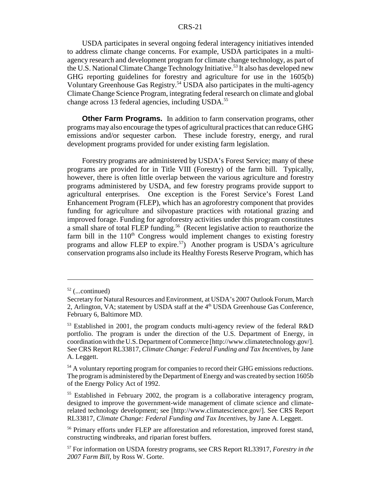USDA participates in several ongoing federal interagency initiatives intended to address climate change concerns. For example, USDA participates in a multiagency research and development program for climate change technology, as part of the U.S. National Climate Change Technology Initiative.<sup>53</sup> It also has developed new GHG reporting guidelines for forestry and agriculture for use in the 1605(b) Voluntary Greenhouse Gas Registry.54 USDA also participates in the multi-agency Climate Change Science Program, integrating federal research on climate and global change across 13 federal agencies, including USDA.<sup>55</sup>

**Other Farm Programs.** In addition to farm conservation programs, other programs may also encourage the types of agricultural practices that can reduce GHG emissions and/or sequester carbon. These include forestry, energy, and rural development programs provided for under existing farm legislation.

Forestry programs are administered by USDA's Forest Service; many of these programs are provided for in Title VIII (Forestry) of the farm bill. Typically, however, there is often little overlap between the various agriculture and forestry programs administered by USDA, and few forestry programs provide support to agricultural enterprises. One exception is the Forest Service's Forest Land Enhancement Program (FLEP), which has an agroforestry component that provides funding for agriculture and silvopasture practices with rotational grazing and improved forage. Funding for agroforestry activities under this program constitutes a small share of total FLEP funding.<sup>56</sup> (Recent legislative action to reauthorize the farm bill in the  $110<sup>th</sup>$  Congress would implement changes to existing forestry programs and allow FLEP to expire.<sup>57</sup>) Another program is USDA's agriculture conservation programs also include its Healthy Forests Reserve Program, which has

 $52$  (...continued)

Secretary for Natural Resources and Environment, at USDA's 2007 Outlook Forum, March 2, Arlington, VA; statement by USDA staff at the  $4<sup>th</sup>$  USDA Greenhouse Gas Conference, February 6, Baltimore MD.

<sup>&</sup>lt;sup>53</sup> Established in 2001, the program conducts multi-agency review of the federal R&D portfolio. The program is under the direction of the U.S. Department of Energy, in coordination with the U.S. Department of Commerce [http://www.climatetechnology.gov/]. See CRS Report RL33817, *Climate Change: Federal Funding and Tax Incentives*, by Jane A. Leggett.

<sup>&</sup>lt;sup>54</sup> A voluntary reporting program for companies to record their GHG emissions reductions. The program is administered by the Department of Energy and was created by section 1605b of the Energy Policy Act of 1992.

<sup>&</sup>lt;sup>55</sup> Established in February 2002, the program is a collaborative interagency program, designed to improve the government-wide management of climate science and climaterelated technology development; see [http://www.climatescience.gov/]. See CRS Report RL33817, *Climate Change: Federal Funding and Tax Incentives*, by Jane A. Leggett.

<sup>&</sup>lt;sup>56</sup> Primary efforts under FLEP are afforestation and reforestation, improved forest stand, constructing windbreaks, and riparian forest buffers.

<sup>57</sup> For information on USDA forestry programs, see CRS Report RL33917, *Forestry in the 2007 Farm Bill*, by Ross W. Gorte.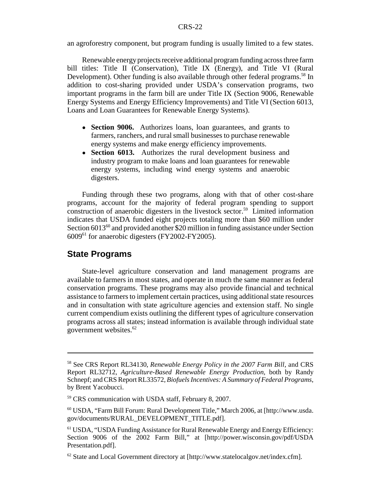an agroforestry component, but program funding is usually limited to a few states.

Renewable energy projects receive additional program funding across three farm bill titles: Title II (Conservation), Title IX (Energy), and Title VI (Rural Development). Other funding is also available through other federal programs.<sup>58</sup> In addition to cost-sharing provided under USDA's conservation programs, two important programs in the farm bill are under Title IX (Section 9006, Renewable Energy Systems and Energy Efficiency Improvements) and Title VI (Section 6013, Loans and Loan Guarantees for Renewable Energy Systems).

- **Section 9006.** Authorizes loans, loan guarantees, and grants to farmers, ranchers, and rural small businesses to purchase renewable energy systems and make energy efficiency improvements.
- **Section 6013.** Authorizes the rural development business and industry program to make loans and loan guarantees for renewable energy systems, including wind energy systems and anaerobic digesters.

Funding through these two programs, along with that of other cost-share programs, account for the majority of federal program spending to support construction of anaerobic digesters in the livestock sector.<sup>59</sup> Limited information indicates that USDA funded eight projects totaling more than \$60 million under Section 6013<sup>60</sup> and provided another \$20 million in funding assistance under Section 600961 for anaerobic digesters (FY2002-FY2005).

#### **State Programs**

State-level agriculture conservation and land management programs are available to farmers in most states, and operate in much the same manner as federal conservation programs. These programs may also provide financial and technical assistance to farmers to implement certain practices, using additional state resources and in consultation with state agriculture agencies and extension staff. No single current compendium exists outlining the different types of agriculture conservation programs across all states; instead information is available through individual state government websites.62

<sup>58</sup> See CRS Report RL34130, *Renewable Energy Policy in the 2007 Farm Bill*, and CRS Report RL32712, *Agriculture-Based Renewable Energy Production*, both by Randy Schnepf; and CRS Report RL33572, *Biofuels Incentives: A Summary of Federal Programs*, by Brent Yacobucci.

<sup>59</sup> CRS communication with USDA staff, February 8, 2007.

<sup>60</sup> USDA, "Farm Bill Forum: Rural Development Title," March 2006, at [http://www.usda. gov/documents/RURAL\_DEVELOPMENT\_TITLE.pdf].

<sup>61</sup> USDA, "USDA Funding Assistance for Rural Renewable Energy and Energy Efficiency: Section 9006 of the 2002 Farm Bill," at [http://power.wisconsin.gov/pdf/USDA Presentation.pdf].

 $62$  State and Local Government directory at [http://www.statelocalgov.net/index.cfm].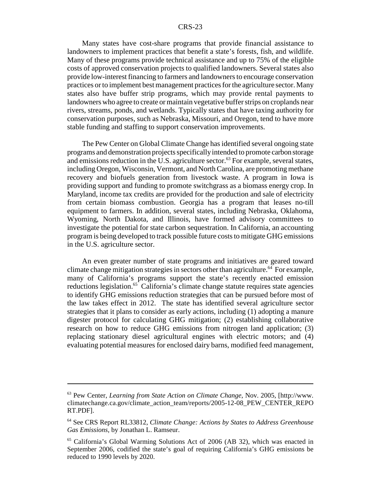Many states have cost-share programs that provide financial assistance to landowners to implement practices that benefit a state's forests, fish, and wildlife. Many of these programs provide technical assistance and up to 75% of the eligible costs of approved conservation projects to qualified landowners. Several states also provide low-interest financing to farmers and landowners to encourage conservation practices or to implement best management practices for the agriculture sector. Many states also have buffer strip programs, which may provide rental payments to landowners who agree to create or maintain vegetative buffer strips on croplands near rivers, streams, ponds, and wetlands. Typically states that have taxing authority for conservation purposes, such as Nebraska, Missouri, and Oregon, tend to have more stable funding and staffing to support conservation improvements.

The Pew Center on Global Climate Change has identified several ongoing state programs and demonstration projects specifically intended to promote carbon storage and emissions reduction in the U.S. agriculture sector.<sup>63</sup> For example, several states, including Oregon, Wisconsin, Vermont, and North Carolina, are promoting methane recovery and biofuels generation from livestock waste. A program in Iowa is providing support and funding to promote switchgrass as a biomass energy crop. In Maryland, income tax credits are provided for the production and sale of electricity from certain biomass combustion. Georgia has a program that leases no-till equipment to farmers. In addition, several states, including Nebraska, Oklahoma, Wyoming, North Dakota, and Illinois, have formed advisory committees to investigate the potential for state carbon sequestration. In California, an accounting program is being developed to track possible future costs to mitigate GHG emissions in the U.S. agriculture sector.

An even greater number of state programs and initiatives are geared toward climate change mitigation strategies in sectors other than agriculture.<sup>64</sup> For example, many of California's programs support the state's recently enacted emission reductions legislation.<sup>65</sup> California's climate change statute requires state agencies to identify GHG emissions reduction strategies that can be pursued before most of the law takes effect in 2012. The state has identified several agriculture sector strategies that it plans to consider as early actions, including (1) adopting a manure digester protocol for calculating GHG mitigation; (2) establishing collaborative research on how to reduce GHG emissions from nitrogen land application; (3) replacing stationary diesel agricultural engines with electric motors; and (4) evaluating potential measures for enclosed dairy barns, modified feed management,

<sup>63</sup> Pew Center, *Learning from State Action on Climate Change*, Nov. 2005, [http://www. climatechange.ca.gov/climate\_action\_team/reports/2005-12-08\_PEW\_CENTER\_REPO RT.PDF].

<sup>64</sup> See CRS Report RL33812, *Climate Change: Actions by States to Address Greenhouse Gas Emissions*, by Jonathan L. Ramseur.

<sup>65</sup> California's Global Warming Solutions Act of 2006 (AB 32), which was enacted in September 2006, codified the state's goal of requiring California's GHG emissions be reduced to 1990 levels by 2020.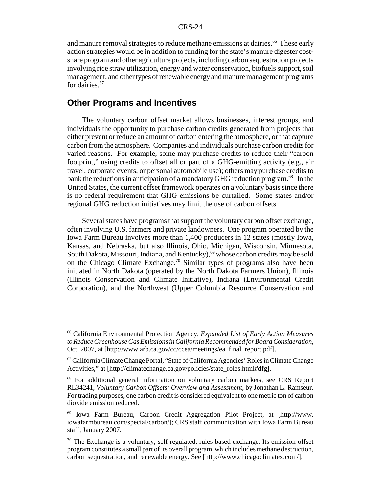and manure removal strategies to reduce methane emissions at dairies.<sup>66</sup> These early action strategies would be in addition to funding for the state's manure digester costshare program and other agriculture projects, including carbon sequestration projects involving rice straw utilization, energy and water conservation, biofuels support, soil management, and other types of renewable energy and manure management programs for dairies.<sup>67</sup>

#### **Other Programs and Incentives**

The voluntary carbon offset market allows businesses, interest groups, and individuals the opportunity to purchase carbon credits generated from projects that either prevent or reduce an amount of carbon entering the atmosphere, or that capture carbon from the atmosphere. Companies and individuals purchase carbon credits for varied reasons. For example, some may purchase credits to reduce their "carbon footprint," using credits to offset all or part of a GHG-emitting activity (e.g., air travel, corporate events, or personal automobile use); others may purchase credits to bank the reductions in anticipation of a mandatory GHG reduction program.<sup>68</sup> In the United States, the current offset framework operates on a voluntary basis since there is no federal requirement that GHG emissions be curtailed. Some states and/or regional GHG reduction initiatives may limit the use of carbon offsets.

Several states have programs that support the voluntary carbon offset exchange, often involving U.S. farmers and private landowners. One program operated by the Iowa Farm Bureau involves more than 1,400 producers in 12 states (mostly Iowa, Kansas, and Nebraska, but also Illinois, Ohio, Michigan, Wisconsin, Minnesota, South Dakota, Missouri, Indiana, and Kentucky),<sup>69</sup> whose carbon credits may be sold on the Chicago Climate Exchange.<sup>70</sup> Similar types of programs also have been initiated in North Dakota (operated by the North Dakota Farmers Union), Illinois (Illinois Conservation and Climate Initiative), Indiana (Environmental Credit Corporation), and the Northwest (Upper Columbia Resource Conservation and

<sup>66</sup> California Environmental Protection Agency, *Expanded List of Early Action Measures to Reduce Greenhouse Gas Emissions in California Recommended for Board Consideration*, Oct. 2007, at [http://www.arb.ca.gov/cc/ccea/meetings/ea\_final\_report.pdf].

<sup>67</sup> California Climate Change Portal, "State of California Agencies' Roles in Climate Change Activities," at [http://climatechange.ca.gov/policies/state\_roles.html#dfg].

<sup>68</sup> For additional general information on voluntary carbon markets, see CRS Report RL34241, *Voluntary Carbon Offsets: Overview and Assessment*, by Jonathan L. Ramseur. For trading purposes, one carbon credit is considered equivalent to one metric ton of carbon dioxide emission reduced.

<sup>69</sup> Iowa Farm Bureau, Carbon Credit Aggregation Pilot Project, at [http://www. iowafarmbureau.com/special/carbon/]; CRS staff communication with Iowa Farm Bureau staff, January 2007.

 $70$  The Exchange is a voluntary, self-regulated, rules-based exchange. Its emission offset program constitutes a small part of its overall program, which includes methane destruction, carbon sequestration, and renewable energy. See [http://www.chicagoclimatex.com/].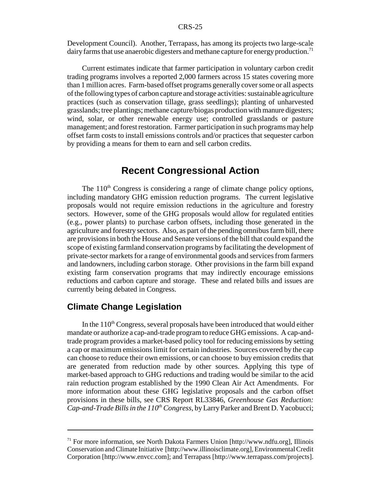Development Council). Another, Terrapass, has among its projects two large-scale dairy farms that use anaerobic digesters and methane capture for energy production.<sup>71</sup>

Current estimates indicate that farmer participation in voluntary carbon credit trading programs involves a reported 2,000 farmers across 15 states covering more than 1 million acres. Farm-based offset programs generally cover some or all aspects of the following types of carbon capture and storage activities: sustainable agriculture practices (such as conservation tillage, grass seedlings); planting of unharvested grasslands; tree plantings; methane capture/biogas production with manure digesters; wind, solar, or other renewable energy use; controlled grasslands or pasture management; and forest restoration. Farmer participation in such programs may help offset farm costs to install emissions controls and/or practices that sequester carbon by providing a means for them to earn and sell carbon credits.

#### **Recent Congressional Action**

The  $110<sup>th</sup>$  Congress is considering a range of climate change policy options, including mandatory GHG emission reduction programs. The current legislative proposals would not require emission reductions in the agriculture and forestry sectors. However, some of the GHG proposals would allow for regulated entities (e.g., power plants) to purchase carbon offsets, including those generated in the agriculture and forestry sectors. Also, as part of the pending omnibus farm bill, there are provisions in both the House and Senate versions of the bill that could expand the scope of existing farmland conservation programs by facilitating the development of private-sector markets for a range of environmental goods and services from farmers and landowners, including carbon storage. Other provisions in the farm bill expand existing farm conservation programs that may indirectly encourage emissions reductions and carbon capture and storage. These and related bills and issues are currently being debated in Congress.

#### **Climate Change Legislation**

In the  $110<sup>th</sup>$  Congress, several proposals have been introduced that would either mandate or authorize a cap-and-trade program to reduce GHG emissions. A cap-andtrade program provides a market-based policy tool for reducing emissions by setting a cap or maximum emissions limit for certain industries. Sources covered by the cap can choose to reduce their own emissions, or can choose to buy emission credits that are generated from reduction made by other sources. Applying this type of market-based approach to GHG reductions and trading would be similar to the acid rain reduction program established by the 1990 Clean Air Act Amendments. For more information about these GHG legislative proposals and the carbon offset provisions in these bills, see CRS Report RL33846, *Greenhouse Gas Reduction: Cap-and-Trade Bills in the*  $110^{th}$  *Congress, by Larry Parker and Brent D. Yacobucci;* 

 $71$  For more information, see North Dakota Farmers Union [http://www.ndfu.org], Illinois Conservation and Climate Initiative [http://www.illinoisclimate.org], Environmental Credit Corporation [http://www.envcc.com]; and Terrapass [http://www.terrapass.com/projects].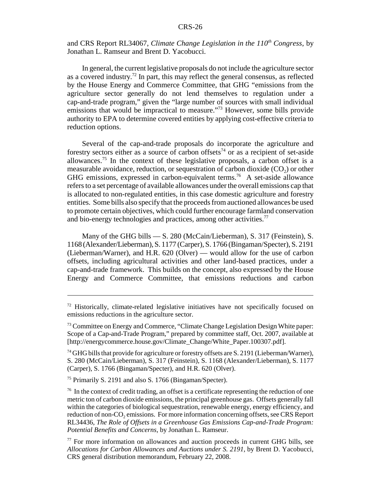and CRS Report RL34067, *Climate Change Legislation in the 110<sup>th</sup> Congress*, by Jonathan L. Ramseur and Brent D. Yacobucci.

In general, the current legislative proposals do not include the agriculture sector as a covered industry.72 In part, this may reflect the general consensus, as reflected by the House Energy and Commerce Committee, that GHG "emissions from the agriculture sector generally do not lend themselves to regulation under a cap-and-trade program," given the "large number of sources with small individual emissions that would be impractical to measure."<sup>73</sup> However, some bills provide authority to EPA to determine covered entities by applying cost-effective criteria to reduction options.

Several of the cap-and-trade proposals do incorporate the agriculture and forestry sectors either as a source of carbon offsets<sup>74</sup> or as a recipient of set-aside allowances.75 In the context of these legislative proposals, a carbon offset is a measurable avoidance, reduction, or sequestration of carbon dioxide  $(CO<sub>2</sub>)$  or other GHG emissions, expressed in carbon-equivalent terms.<sup>76</sup> A set-aside allowance refers to a set percentage of available allowances under the overall emissions cap that is allocated to non-regulated entities, in this case domestic agriculture and forestry entities. Some bills also specify that the proceeds from auctioned allowances be used to promote certain objectives, which could further encourage farmland conservation and bio-energy technologies and practices, among other activities.<sup>77</sup>

Many of the GHG bills — S. 280 (McCain/Lieberman), S. 317 (Feinstein), S. 1168 (Alexander/Lieberman), S. 1177 (Carper), S. 1766 (Bingaman/Specter), S. 2191 (Lieberman/Warner), and H.R. 620 (Olver) — would allow for the use of carbon offsets, including agricultural activities and other land-based practices, under a cap-and-trade framework. This builds on the concept, also expressed by the House Energy and Commerce Committee, that emissions reductions and carbon

 $72$  Historically, climate-related legislative initiatives have not specifically focused on emissions reductions in the agriculture sector.

<sup>&</sup>lt;sup>73</sup> Committee on Energy and Commerce, "Climate Change Legislation Design White paper: Scope of a Cap-and-Trade Program," prepared by committee staff, Oct. 2007, available at [http://energycommerce.house.gov/Climate\_Change/White\_Paper.100307.pdf].

 $74$  GHG bills that provide for agriculture or forestry offsets are S. 2191 (Lieberman/Warner), S. 280 (McCain/Lieberman), S. 317 (Feinstein), S. 1168 (Alexander/Lieberman), S. 1177 (Carper), S. 1766 (Bingaman/Specter), and H.R. 620 (Olver).

<sup>75</sup> Primarily S. 2191 and also S. 1766 (Bingaman/Specter).

 $76$  In the context of credit trading, an offset is a certificate representing the reduction of one metric ton of carbon dioxide emissions, the principal greenhouse gas. Offsets generally fall within the categories of biological sequestration, renewable energy, energy efficiency, and reduction of non-CO<sub>2</sub> emissions. For more information concerning offsets, see CRS Report RL34436, *The Role of Offsets in a Greenhouse Gas Emissions Cap-and-Trade Program: Potential Benefits and Concerns*, by Jonathan L. Ramseur.

<sup>77</sup> For more information on allowances and auction proceeds in current GHG bills, see *Allocations for Carbon Allowances and Auctions under S. 2191*, by Brent D. Yacobucci, CRS general distribution memorandum, February 22, 2008.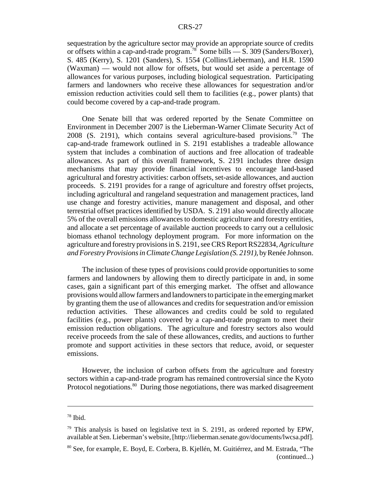sequestration by the agriculture sector may provide an appropriate source of credits or offsets within a cap-and-trade program.<sup>78</sup> Some bills  $\overline{\phantom{0}}$  S. 309 (Sanders/Boxer), S. 485 (Kerry), S. 1201 (Sanders), S. 1554 (Collins/Lieberman), and H.R. 1590 (Waxman) — would not allow for offsets, but would set aside a percentage of allowances for various purposes, including biological sequestration. Participating farmers and landowners who receive these allowances for sequestration and/or emission reduction activities could sell them to facilities (e.g., power plants) that could become covered by a cap-and-trade program.

One Senate bill that was ordered reported by the Senate Committee on Environment in December 2007 is the Lieberman-Warner Climate Security Act of 2008 (S. 2191), which contains several agriculture-based provisions.<sup>79</sup> The cap-and-trade framework outlined in S. 2191 establishes a tradeable allowance system that includes a combination of auctions and free allocation of tradeable allowances. As part of this overall framework, S. 2191 includes three design mechanisms that may provide financial incentives to encourage land-based agricultural and forestry activities: carbon offsets, set-aside allowances, and auction proceeds. S. 2191 provides for a range of agriculture and forestry offset projects, including agricultural and rangeland sequestration and management practices, land use change and forestry activities, manure management and disposal, and other terrestrial offset practices identified by USDA. S. 2191 also would directly allocate 5% of the overall emissions allowances to domestic agriculture and forestry entities, and allocate a set percentage of available auction proceeds to carry out a cellulosic biomass ethanol technology deployment program. For more information on the agriculture and forestry provisions in S. 2191, see CRS Report RS22834, *Agriculture and Forestry Provisions in Climate Change Legislation (S. 2191)*, by Renée Johnson.

The inclusion of these types of provisions could provide opportunities to some farmers and landowners by allowing them to directly participate in and, in some cases, gain a significant part of this emerging market. The offset and allowance provisions would allow farmers and landowners to participate in the emerging market by granting them the use of allowances and credits for sequestration and/or emission reduction activities. These allowances and credits could be sold to regulated facilities (e.g., power plants) covered by a cap-and-trade program to meet their emission reduction obligations. The agriculture and forestry sectors also would receive proceeds from the sale of these allowances, credits, and auctions to further promote and support activities in these sectors that reduce, avoid, or sequester emissions.

However, the inclusion of carbon offsets from the agriculture and forestry sectors within a cap-and-trade program has remained controversial since the Kyoto Protocol negotiations.<sup>80</sup> During those negotiations, there was marked disagreement

<sup>78</sup> Ibid.

 $79$  This analysis is based on legislative text in S. 2191, as ordered reported by EPW, available at Sen. Lieberman's website, [http://lieberman.senate.gov/documents/lwcsa.pdf].

<sup>80</sup> See, for example, E. Boyd, E. Corbera, B. Kjellén, M. Guitiérrez, and M. Estrada, "The (continued...)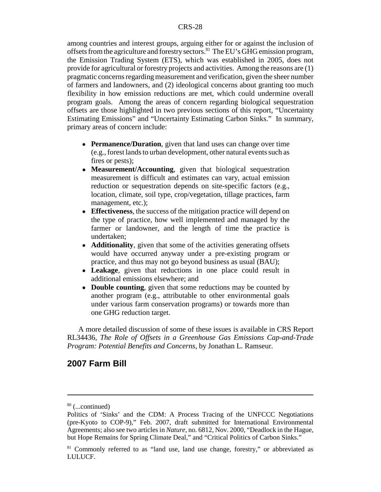among countries and interest groups, arguing either for or against the inclusion of offsets from the agriculture and forestry sectors.81 The EU's GHG emission program, the Emission Trading System (ETS), which was established in 2005, does not provide for agricultural or forestry projects and activities. Among the reasons are (1) pragmatic concerns regarding measurement and verification, given the sheer number of farmers and landowners, and (2) ideological concerns about granting too much flexibility in how emission reductions are met, which could undermine overall program goals. Among the areas of concern regarding biological sequestration offsets are those highlighted in two previous sections of this report, "Uncertainty Estimating Emissions" and "Uncertainty Estimating Carbon Sinks." In summary, primary areas of concern include:

- **Permanence/Duration**, given that land uses can change over time (e.g., forest lands to urban development, other natural events such as fires or pests);
- **Measurement/Accounting**, given that biological sequestration measurement is difficult and estimates can vary, actual emission reduction or sequestration depends on site-specific factors (e.g., location, climate, soil type, crop/vegetation, tillage practices, farm management, etc.);
- ! **Effectiveness**, the success of the mitigation practice will depend on the type of practice, how well implemented and managed by the farmer or landowner, and the length of time the practice is undertaken;
- ! **Additionality**, given that some of the activities generating offsets would have occurred anyway under a pre-existing program or practice, and thus may not go beyond business as usual (BAU);
- ! **Leakage**, given that reductions in one place could result in additional emissions elsewhere; and
- **Double counting**, given that some reductions may be counted by another program (e.g., attributable to other environmental goals under various farm conservation programs) or towards more than one GHG reduction target.

A more detailed discussion of some of these issues is available in CRS Report RL34436, *The Role of Offsets in a Greenhouse Gas Emissions Cap-and-Trade Program: Potential Benefits and Concerns*, by Jonathan L. Ramseur.

#### **2007 Farm Bill**

<sup>80 (...</sup>continued)

Politics of 'Sinks' and the CDM: A Process Tracing of the UNFCCC Negotiations (pre-Kyoto to COP-9)," Feb. 2007, draft submitted for International Environmental Agreements; also see two articles in *Nature*, no. 6812, Nov. 2000, "Deadlock in the Hague, but Hope Remains for Spring Climate Deal," and "Critical Politics of Carbon Sinks."

 $81$  Commonly referred to as "land use, land use change, forestry," or abbreviated as LULUCF.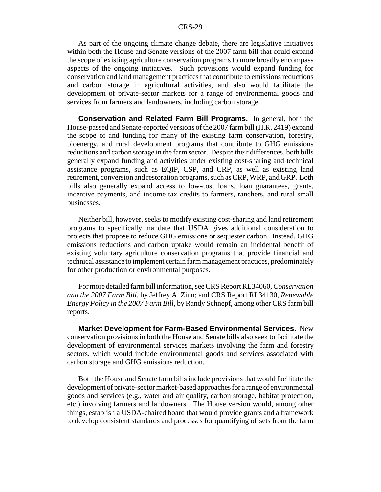As part of the ongoing climate change debate, there are legislative initiatives within both the House and Senate versions of the 2007 farm bill that could expand the scope of existing agriculture conservation programs to more broadly encompass aspects of the ongoing initiatives. Such provisions would expand funding for conservation and land management practices that contribute to emissions reductions and carbon storage in agricultural activities, and also would facilitate the development of private-sector markets for a range of environmental goods and services from farmers and landowners, including carbon storage.

**Conservation and Related Farm Bill Programs.** In general, both the House-passed and Senate-reported versions of the 2007 farm bill (H.R. 2419) expand the scope of and funding for many of the existing farm conservation, forestry, bioenergy, and rural development programs that contribute to GHG emissions reductions and carbon storage in the farm sector. Despite their differences, both bills generally expand funding and activities under existing cost-sharing and technical assistance programs, such as EQIP, CSP, and CRP, as well as existing land retirement, conversion and restoration programs, such as CRP, WRP, and GRP. Both bills also generally expand access to low-cost loans, loan guarantees, grants, incentive payments, and income tax credits to farmers, ranchers, and rural small businesses.

Neither bill, however, seeks to modify existing cost-sharing and land retirement programs to specifically mandate that USDA gives additional consideration to projects that propose to reduce GHG emissions or sequester carbon. Instead, GHG emissions reductions and carbon uptake would remain an incidental benefit of existing voluntary agriculture conservation programs that provide financial and technical assistance to implement certain farm management practices, predominately for other production or environmental purposes.

For more detailed farm bill information, see CRS Report RL34060, *Conservation and the 2007 Farm Bill*, by Jeffrey A. Zinn; and CRS Report RL34130, *Renewable Energy Policy in the 2007 Farm Bill*, by Randy Schnepf, among other CRS farm bill reports.

**Market Development for Farm-Based Environmental Services.** New conservation provisions in both the House and Senate bills also seek to facilitate the development of environmental services markets involving the farm and forestry sectors, which would include environmental goods and services associated with carbon storage and GHG emissions reduction.

Both the House and Senate farm bills include provisions that would facilitate the development of private-sector market-based approaches for a range of environmental goods and services (e.g., water and air quality, carbon storage, habitat protection, etc.) involving farmers and landowners. The House version would, among other things, establish a USDA-chaired board that would provide grants and a framework to develop consistent standards and processes for quantifying offsets from the farm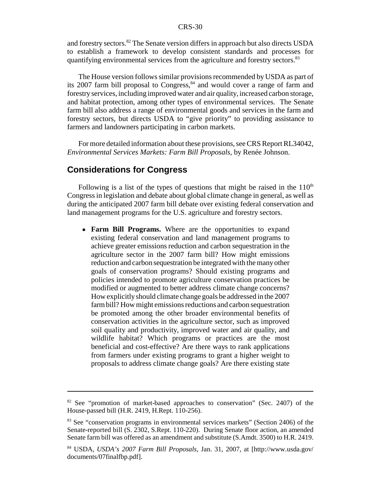and forestry sectors.82 The Senate version differs in approach but also directs USDA to establish a framework to develop consistent standards and processes for quantifying environmental services from the agriculture and forestry sectors.<sup>83</sup>

The House version follows similar provisions recommended by USDA as part of its 2007 farm bill proposal to Congress, $84$  and would cover a range of farm and forestry services, including improved water and air quality, increased carbon storage, and habitat protection, among other types of environmental services. The Senate farm bill also address a range of environmental goods and services in the farm and forestry sectors, but directs USDA to "give priority" to providing assistance to farmers and landowners participating in carbon markets.

For more detailed information about these provisions, see CRS Report RL34042, *Environmental Services Markets: Farm Bill Proposals*, by Renée Johnson.

#### **Considerations for Congress**

Following is a list of the types of questions that might be raised in the  $110<sup>th</sup>$ Congress in legislation and debate about global climate change in general, as well as during the anticipated 2007 farm bill debate over existing federal conservation and land management programs for the U.S. agriculture and forestry sectors.

• Farm Bill Programs. Where are the opportunities to expand existing federal conservation and land management programs to achieve greater emissions reduction and carbon sequestration in the agriculture sector in the 2007 farm bill? How might emissions reduction and carbon sequestration be integrated with the many other goals of conservation programs? Should existing programs and policies intended to promote agriculture conservation practices be modified or augmented to better address climate change concerns? How explicitly should climate change goals be addressed in the 2007 farm bill? How might emissions reductions and carbon sequestration be promoted among the other broader environmental benefits of conservation activities in the agriculture sector, such as improved soil quality and productivity, improved water and air quality, and wildlife habitat? Which programs or practices are the most beneficial and cost-effective? Are there ways to rank applications from farmers under existing programs to grant a higher weight to proposals to address climate change goals? Are there existing state

<sup>&</sup>lt;sup>82</sup> See "promotion of market-based approaches to conservation" (Sec. 2407) of the House-passed bill (H.R. 2419, H.Rept. 110-256).

<sup>&</sup>lt;sup>83</sup> See "conservation programs in environmental services markets" (Section 2406) of the Senate-reported bill (S. 2302, S.Rept. 110-220). During Senate floor action, an amended Senate farm bill was offered as an amendment and substitute (S.Amdt. 3500) to H.R. 2419.

<sup>84</sup> USDA, *USDA's 2007 Farm Bill Proposals*, Jan. 31, 2007, at [http://www.usda.gov/ documents/07finalfbp.pdf].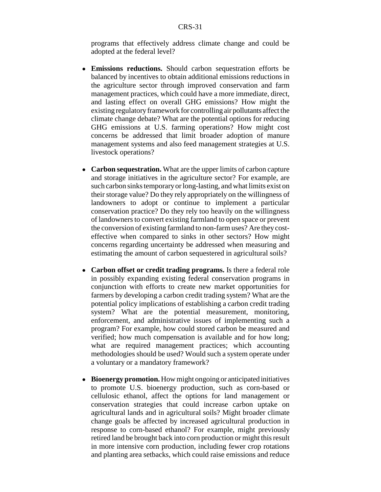programs that effectively address climate change and could be adopted at the federal level?

- ! **Emissions reductions.** Should carbon sequestration efforts be balanced by incentives to obtain additional emissions reductions in the agriculture sector through improved conservation and farm management practices, which could have a more immediate, direct, and lasting effect on overall GHG emissions? How might the existing regulatory framework for controlling air pollutants affect the climate change debate? What are the potential options for reducing GHG emissions at U.S. farming operations? How might cost concerns be addressed that limit broader adoption of manure management systems and also feed management strategies at U.S. livestock operations?
- **Carbon sequestration.** What are the upper limits of carbon capture and storage initiatives in the agriculture sector? For example, are such carbon sinks temporary or long-lasting, and what limits exist on their storage value? Do they rely appropriately on the willingness of landowners to adopt or continue to implement a particular conservation practice? Do they rely too heavily on the willingness of landowners to convert existing farmland to open space or prevent the conversion of existing farmland to non-farm uses? Are they costeffective when compared to sinks in other sectors? How might concerns regarding uncertainty be addressed when measuring and estimating the amount of carbon sequestered in agricultural soils?
- ! **Carbon offset or credit trading programs.** Is there a federal role in possibly expanding existing federal conservation programs in conjunction with efforts to create new market opportunities for farmers by developing a carbon credit trading system? What are the potential policy implications of establishing a carbon credit trading system? What are the potential measurement, monitoring, enforcement, and administrative issues of implementing such a program? For example, how could stored carbon be measured and verified; how much compensation is available and for how long; what are required management practices; which accounting methodologies should be used? Would such a system operate under a voluntary or a mandatory framework?
- ! **Bioenergy promotion.** How might ongoing or anticipated initiatives to promote U.S. bioenergy production, such as corn-based or cellulosic ethanol, affect the options for land management or conservation strategies that could increase carbon uptake on agricultural lands and in agricultural soils? Might broader climate change goals be affected by increased agricultural production in response to corn-based ethanol? For example, might previously retired land be brought back into corn production or might this result in more intensive corn production, including fewer crop rotations and planting area setbacks, which could raise emissions and reduce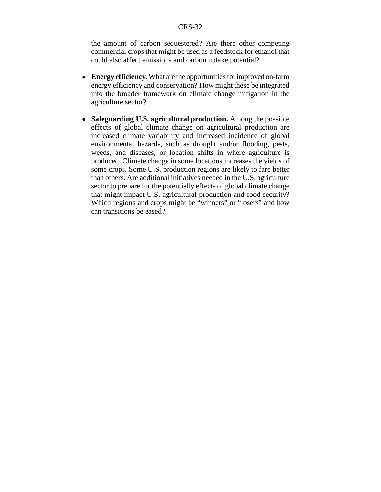the amount of carbon sequestered? Are there other competing commercial crops that might be used as a feedstock for ethanol that could also affect emissions and carbon uptake potential?

- ! **Energy efficiency.** What are the opportunities for improved on-farm energy efficiency and conservation? How might these be integrated into the broader framework on climate change mitigation in the agriculture sector?
- ! **Safeguarding U.S. agricultural production.** Among the possible effects of global climate change on agricultural production are increased climate variability and increased incidence of global environmental hazards, such as drought and/or flooding, pests, weeds, and diseases, or location shifts in where agriculture is produced. Climate change in some locations increases the yields of some crops. Some U.S. production regions are likely to fare better than others. Are additional initiatives needed in the U.S. agriculture sector to prepare for the potentially effects of global climate change that might impact U.S. agricultural production and food security? Which regions and crops might be "winners" or "losers" and how can transitions be eased?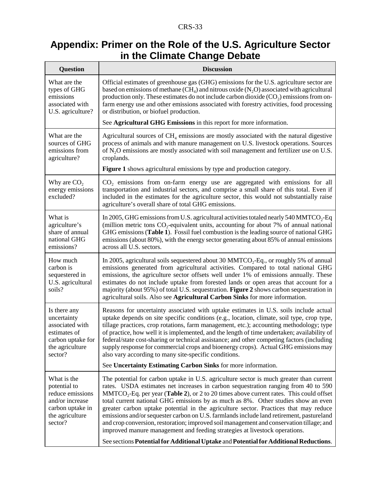## **Appendix: Primer on the Role of the U.S. Agriculture Sector in the Climate Change Debate**

| <b>Question</b>                                                                                                           | <b>Discussion</b>                                                                                                                                                                                                                                                                                                                                                                                                                                                                                                                                                                                                                                                                                                                                                                                                     |
|---------------------------------------------------------------------------------------------------------------------------|-----------------------------------------------------------------------------------------------------------------------------------------------------------------------------------------------------------------------------------------------------------------------------------------------------------------------------------------------------------------------------------------------------------------------------------------------------------------------------------------------------------------------------------------------------------------------------------------------------------------------------------------------------------------------------------------------------------------------------------------------------------------------------------------------------------------------|
| What are the<br>types of GHG<br>emissions<br>associated with<br>U.S. agriculture?                                         | Official estimates of greenhouse gas (GHG) emissions for the U.S. agriculture sector are<br>based on emissions of methane (CH <sub>4</sub> ) and nitrous oxide (N <sub>2</sub> O) associated with agricultural<br>production only. These estimates do not include carbon dioxide $(CO2)$ emissions from on-<br>farm energy use and other emissions associated with forestry activities, food processing<br>or distribution, or biofuel production.                                                                                                                                                                                                                                                                                                                                                                    |
|                                                                                                                           | See Agricultural GHG Emissions in this report for more information.                                                                                                                                                                                                                                                                                                                                                                                                                                                                                                                                                                                                                                                                                                                                                   |
| What are the<br>sources of GHG<br>emissions from<br>agriculture?                                                          | Agricultural sources of $CH4$ emissions are mostly associated with the natural digestive<br>process of animals and with manure management on U.S. livestock operations. Sources<br>of N <sub>2</sub> O emissions are mostly associated with soil management and fertilizer use on U.S.<br>croplands.                                                                                                                                                                                                                                                                                                                                                                                                                                                                                                                  |
|                                                                                                                           | Figure 1 shows agricultural emissions by type and production category.                                                                                                                                                                                                                                                                                                                                                                                                                                                                                                                                                                                                                                                                                                                                                |
| Why are $CO2$<br>energy emissions<br>excluded?                                                                            | CO <sub>2</sub> emissions from on-farm energy use are aggregated with emissions for all<br>transportation and industrial sectors, and comprise a small share of this total. Even if<br>included in the estimates for the agriculture sector, this would not substantially raise<br>agriculture's overall share of total GHG emissions.                                                                                                                                                                                                                                                                                                                                                                                                                                                                                |
| What is<br>agriculture's<br>share of annual<br>national GHG<br>emissions?                                                 | In 2005, GHG emissions from U.S. agricultural activities totaled nearly 540 MMTCO <sub>2</sub> -Eq<br>(million metric tons $CO_2$ -equivalent units, accounting for about 7% of annual national<br>GHG emissions (Table 1). Fossil fuel combustion is the leading source of national GHG<br>emissions (about 80%), with the energy sector generating about 85% of annual emissions<br>across all U.S. sectors.                                                                                                                                                                                                                                                                                                                                                                                                        |
| How much<br>carbon is<br>sequestered in<br>U.S. agricultural<br>soils?                                                    | In 2005, agricultural soils sequestered about 30 MMTCO <sub>2</sub> -Eq., or roughly 5% of annual<br>emissions generated from agricultural activities. Compared to total national GHG<br>emissions, the agriculture sector offsets well under 1% of emissions annually. These<br>estimates do not include uptake from forested lands or open areas that account for a<br>majority (about 95%) of total U.S. sequestration. Figure 2 shows carbon sequestration in<br>agricultural soils. Also see Agricultural Carbon Sinks for more information.                                                                                                                                                                                                                                                                     |
| Is there any<br>uncertainty<br>associated with<br>estimates of<br>carbon uptake for $\vert$<br>the agriculture<br>sector? | Reasons for uncertainty associated with uptake estimates in U.S. soils include actual<br>uptake depends on site specific conditions (e.g., location, climate, soil type, crop type,<br>tillage practices, crop rotations, farm management, etc.); accounting methodology; type<br>of practice, how well it is implemented, and the length of time undertaken; availability of<br>federal/state cost-sharing or technical assistance; and other competing factors (including<br>supply response for commercial crops and bioenergy crops). Actual GHG emissions may<br>also vary according to many site-specific conditions.<br>See Uncertainty Estimating Carbon Sinks for more information.                                                                                                                          |
|                                                                                                                           |                                                                                                                                                                                                                                                                                                                                                                                                                                                                                                                                                                                                                                                                                                                                                                                                                       |
| What is the<br>potential to<br>reduce emissions<br>and/or increase<br>carbon uptake in<br>the agriculture<br>sector?      | The potential for carbon uptake in U.S. agriculture sector is much greater than current<br>rates. USDA estimates net increases in carbon sequestration ranging from 40 to 590<br>$MMTCO2-Eq.$ per year (Table 2), or 2 to 20 times above current rates. This could offset<br>total current national GHG emissions by as much as 8%. Other studies show an even<br>greater carbon uptake potential in the agriculture sector. Practices that may reduce<br>emissions and/or sequester carbon on U.S. farmlands include land retirement, pastureland<br>and crop conversion, restoration; improved soil management and conservation tillage; and<br>improved manure management and feeding strategies at livestock operations.<br>See sections Potential for Additional Uptake and Potential for Additional Reductions. |